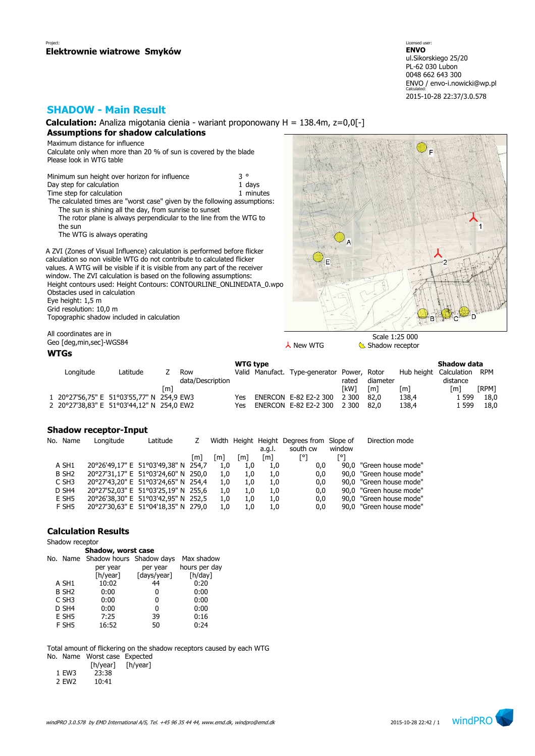## **SHADOW - Main Result**

**Calculation:** Analiza migotania cienia - wariant proponowany H = 138.4m, z=0,0[-] **Assumptions for shadow calculations**

Maximum distance for influence Calculate only when more than 20 % of sun is covered by the blade Please look in WTG table

Minimum sun height over horizon for influence  $3^\circ$ <br>Day step for calculation Day step for calculation Time step for calculation 1 minutes The calculated times are "worst case" given by the following assumptions: The sun is shining all the day, from sunrise to sunset The rotor plane is always perpendicular to the line from the WTG to the sun The WTG is always operating

A ZVI (Zones of Visual Influence) calculation is performed before flicker calculation so non visible WTG do not contribute to calculated flicker values. A WTG will be visible if it is visible from any part of the receiver window. The ZVI calculation is based on the following assumptions: Height contours used: Height Contours: CONTOURLINE\_ONLINEDATA\_0.wpo (1) Obstacles used in calculation Eye height: 1,5 m Grid resolution: 10,0 m Topographic shadow included in calculation



All coordinates are in

**WTGs**

| <b>WTG</b> type                           |          |     |                  |     |                 |                       |              |          |            | Shadow data |       |
|-------------------------------------------|----------|-----|------------------|-----|-----------------|-----------------------|--------------|----------|------------|-------------|-------|
| Longitude                                 | Latitude |     | Row              |     | Valid Manufact. | Type-generator        | Power, Rotor |          | Hub height | Calculation | RPM   |
|                                           |          |     | data/Description |     |                 |                       | rated        | diameter |            | distance    |       |
|                                           |          | l m |                  |     |                 |                       | [kW]         | [m]      | [m]        | Im1         | [RPM] |
| 1 20°27'56,75" E 51°03'55,77" N 254,9 EW3 |          |     |                  | Yes |                 | ENERCON E-82 E2-2 300 | 2 3 0 0      | 82.0     | 138.4      | 1 599       | 18,0  |
| 2 20°27'38,83" E 51°03'44,12" N 254,0 EW2 |          |     |                  | Yes |                 | ENERCON E-82 E2-2 300 | 2 300        | 82.0     | 138.4      | 1 599       | 18.0  |

### **Shadow receptor-Input**

| No. Name          | Longitude | Latitude                            |       |     |     |        | Width Height Height Degrees from Slope of |        | Direction mode          |
|-------------------|-----------|-------------------------------------|-------|-----|-----|--------|-------------------------------------------|--------|-------------------------|
|                   |           |                                     |       |     |     | a.g.l. | south cw                                  | window |                         |
|                   |           |                                     | l m l | [m] | [m] | [m]    |                                           | ۲۰ק    |                         |
| A SH1             |           | 20°26'49,17" E 51°03'49,38" N 254,7 |       | 1.0 | 1.0 | 1.0    | 0,0                                       |        | 90,0 "Green house mode" |
| B SH <sub>2</sub> |           | 20°27'31,17" E 51°03'24,60" N 250,0 |       | 1.0 | 1.0 | 1.0    | 0,0                                       |        | 90,0 "Green house mode" |
| C SH <sub>3</sub> |           | 20°27'43,20" E 51°03'24,65" N 254,4 |       | 1.0 | 1.0 | 1.0    | 0,0                                       |        | 90,0 "Green house mode" |
| D SH4             |           | 20°27'52,03" E 51°03'25,19" N 255,6 |       | 1.0 | 1.0 | 1.0    | 0,0                                       |        | 90.0 "Green house mode" |
| E SH <sub>5</sub> |           | 20°26'38,30" E 51°03'42,95" N 252,5 |       | 1.0 | 1.0 | 1.0    | 0,0                                       |        | 90.0 "Green house mode" |
| F SH5             |           | 20°27'30.63" E 51°04'18.35" N 279.0 |       | 1.0 | 1.0 | 1.0    | 0.0                                       |        | 90.0 "Green house mode" |

### **Calculation Results**

Shadow receptor

|                   | Shadow, worst case                |             |               |
|-------------------|-----------------------------------|-------------|---------------|
|                   | No. Name Shadow hours Shadow days |             | Max shadow    |
|                   | per year                          | per year    | hours per day |
|                   | [h/year]                          | [days/year] | [h/day]       |
| A SH1             | 10:02                             | 44          | 0:20          |
| B SH <sub>2</sub> | 0:00                              | 0           | 0:00          |
| C SH <sub>3</sub> | 0:00                              | 0           | 0:00          |
| D SH4             | 0:00                              | 0           | 0:00          |
| E SH <sub>5</sub> | 7:25                              | 39          | 0:16          |
| F SH5             | 16:52                             | 50          | 0:24          |
|                   |                                   |             |               |

Total amount of flickering on the shadow receptors caused by each WTG

No. Name Worst case Expected

|       | [h/year] | [h/year] |
|-------|----------|----------|
| 1 EW3 | 23:38    |          |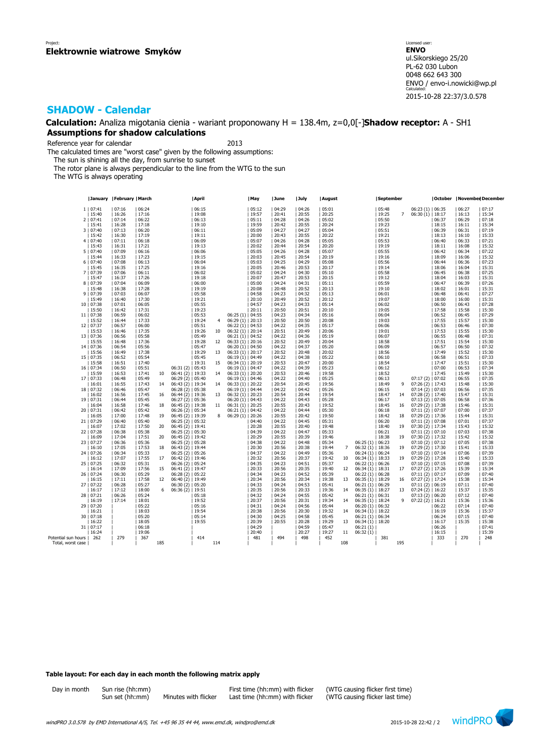**Calculation:** Analiza migotania cienia - wariant proponowany H = 138.4m, z=0,0[-]**Shadow receptor:** A - SH1 **Assumptions for shadow calculations**

Reference year for calendar 2013

The calculated times are "worst case" given by the following assumptions:

The sun is shining all the day, from sunrise to sunset

The rotor plane is always perpendicular to the line from the WTG to the sun

The WTG is always operating

|                     |                     | January   February   March |                |     |                    | April          |     |                                          | May            | June           | July           | August         |                |                      | September      |                |                    |                  |                | October   November December |
|---------------------|---------------------|----------------------------|----------------|-----|--------------------|----------------|-----|------------------------------------------|----------------|----------------|----------------|----------------|----------------|----------------------|----------------|----------------|--------------------|------------------|----------------|-----------------------------|
|                     | 1   07:41           | 07:16                      | 06:24          |     |                    | 06:15          |     |                                          | 05:12          | 04:29          | 04:26          | 05:01          |                |                      | 05:48          |                | $06:23(1)$   06:35 |                  | 06:27          | 07:17                       |
|                     | 15:40               | 16:26                      | 17:16          |     |                    | 19:08          |     |                                          | 19:57          | 20:41          | 20:55          | 20:25          |                |                      | 19:25          | $\overline{7}$ | $06:30(1)$   18:17 |                  | 16:13          | 15:34                       |
|                     |                     | 07:14                      |                |     |                    |                |     |                                          |                |                |                | 05:02          |                |                      |                |                |                    |                  |                |                             |
|                     | 2   07:41           |                            | 06:22          |     |                    | 06:13          |     |                                          | 05:11          | 04:28          | 04:26          |                |                |                      | 05:50          |                |                    | 06:37            | 06:29          | 07:18                       |
|                     | 15:41               | 16:28                      | 17:18          |     |                    | 19:10          |     |                                          | 19:59          | 20:42          | 20:55          | 20:24          |                |                      | 19:23          |                |                    | 18:15            | 16:11          | 15:34                       |
|                     | 3   07:40           | 07:13                      | 06:20          |     |                    | 06:11          |     |                                          | 05:09          | 04:27          | 04:27          | 05:04          |                |                      | 05:51          |                |                    | 06:39            | 06:31          | 07:19                       |
|                     | 15:42               | 16:30                      | 17:19          |     |                    | 19:11          |     |                                          | 20:00          | 20:43          | 20:55          | 20:22          |                |                      | 19:21          |                |                    | 18:13            | 16:10          | 15:33                       |
|                     | 4   07:40           | 07:11                      | 06:18          |     |                    | 06:09          |     |                                          | 05:07          | 04:26          | 04:28          | 05:05          |                |                      | 05:53          |                |                    | 06:40            | 06:33          | 07:21                       |
|                     | 15:43               | 16:31                      | 17:21          |     |                    | 19:13          |     |                                          | 20:02          | 20:44          | 20:54          | 20:20          |                |                      | 19:19          |                |                    | 18:11            | 16:08          | 15:32                       |
|                     | 5   07:40           | 07:09                      | 06:16          |     |                    | 06:06          |     |                                          | 05:05          | 04:26          | 04:28          | 05:07          |                |                      | 05:55          |                |                    | 06:42            | 06:34          | 07:22                       |
|                     | 15:44               | 16:33                      | 17:23          |     |                    | 19:15          |     |                                          | 20:03          | 20:45          | 20:54          | 20:19          |                |                      | 19:16          |                |                    | 18:09            | 16:06          | 15:32                       |
|                     | 6   07:40           | 07:08                      | 06:13          |     |                    | 06:04          |     |                                          | 05:03          | 04:25          | 04:29          | 05:08          |                |                      | 05:56          |                |                    | 06:44            | 06:36          | 07:23                       |
|                     | 15:45               | 16:35                      | 17:25          |     |                    | 19:16          |     |                                          | 20:05          | 20:46          | 20:53          | 20:17          |                |                      | 19:14          |                |                    | 18:06            | 16:04          | 15:31<br>07:25              |
|                     | 7   07:39           | 07:06                      | 06:11          |     |                    | 06:02          |     |                                          | 05:02          | 04:24          | 04:30          | 05:10          |                |                      | 05:58          |                |                    | 06:45            | 06:38          |                             |
|                     | 15:47               | 16:37                      | 17:26          |     |                    | 19:18          |     |                                          | 20:07          | 20:47          | 20:53          | 20:15          |                |                      | 19:12          |                |                    | 18:04            | 16:03          | 15:31                       |
|                     | 8   07:39           | 07:04                      | 06:09<br>17:28 |     |                    | 06:00          |     |                                          | 05:00          | 04:24          | 04:31<br>20:52 | 05:11          |                |                      | 05:59          |                |                    | 06:47<br>  18:02 | 06:39          | 07:26<br>15:31              |
|                     | 15:48<br>9   07:39  | 16:38<br>07:03             | 06:07          |     |                    | 19:19<br>05:58 |     |                                          | 20:08<br>04:58 | 20:48<br>04:23 | 04:32          | 20:13<br>05:13 |                |                      | 19:10<br>06:01 |                |                    | 06:48            | 16:01<br>06:41 | 07:27                       |
|                     | 15:49               | 16:40                      | 17:30          |     |                    | 19:21          |     |                                          | 20:10          | 20:49          | 20:52          | 20:12          |                |                      | 19:07          |                |                    | 18:00            | 16:00          | 15:31                       |
|                     | 10   07:38          | 07:01                      |                |     |                    | 05:55          |     |                                          | 04:57          | 04:23          | 04:33          | 05:14          |                |                      |                |                |                    |                  |                | 07:28                       |
|                     |                     |                            | 06:05          |     |                    |                |     |                                          |                |                |                |                |                |                      | 06:02          |                |                    | 06:50            | 06:43          |                             |
|                     | 15:50<br>11   07:38 | 16:42<br>06:59             | 17:31<br>06:02 |     |                    | 19:23<br>05:53 |     | $06:25(1)$   04:55                       | 20:11          | 20:50<br>04:23 | 20:51<br>04:34 | 20:10<br>05:16 |                |                      | 19:05<br>06:04 |                |                    | 17:58<br>06:52   | 15:58<br>06:45 | 15:30<br>07:29              |
|                     | 15:52               | 16:44                      | 17:33          |     |                    |                |     | $06:29(1)$   20:13                       |                | 20:50          | 20:50          |                |                |                      | 19:03          |                |                    |                  | 15:57          | 15:30                       |
|                     | 12   07:37          | 06:57                      | 06:00          |     |                    | 19:24<br>05:51 | 4   | $06:22(1)$   04:53                       |                | 04:22          | 04:35          | 20:08<br>05:17 |                |                      | 06:06          |                |                    | 17:55<br>06:53   | 06:46          | 07:30                       |
|                     | 15:53               | 16:46                      | 17:35          |     |                    | 19:26          | 10  | $06:32(1)$   20:14                       |                | 20:51          | 20:49          | 20:06          |                |                      | 19:01          |                |                    | 17:53            | 15:55          | 15:30                       |
|                     | 13   07:36          | 06:56                      | 05:58          |     |                    | 05:49          |     |                                          |                | 04:22          | 04:36          | 05:19          |                |                      | 06:07          |                |                    | 06:55            | 06:48          | 07:31                       |
|                     | 15:55               | 16:48                      | 17:36          |     |                    | 19:28          | 12  | $06:21(1)$   04:52<br>$06:33(1)$   20:16 |                | 20:52          | 20:49          | 20:04          |                |                      | 18:58          |                |                    | 17:51            | 15:54          | 15:30                       |
|                     | 14   07:36          | 06:54                      | 05:56          |     |                    | 05:47          |     | $06:20(1)$   04:50                       |                | 04:22          | 04:37          | 05:20          |                |                      | 06:09          |                |                    | 06:57            | 06:50          | 07:32                       |
|                     | 15:56               | 16:49                      | 17:38          |     |                    | 19:29          | 13  | $06:33(1)$   20:17                       |                | 20:52          | 20:48          | 20:02          |                |                      | 18:56          |                |                    | 17:49            | 15:52          | 15:30                       |
|                     | 15   07:35          | 06:52                      | 05:54          |     |                    | 05:45          |     | 06:19 (1)   04:49                        |                | 04:22          | 04:38          | 05:22          |                |                      | 06:10          |                |                    | 06:58            | 06:51          | 07:33                       |
|                     | 15:58               | 16:51                      | 17:40          |     |                    | 19:31          | 15  | $06:34(1)$   20:19                       |                | 20:53          | 20:47          | 20:00          |                |                      | 18:54          |                |                    | 17:47            | 15:51          | 15:30                       |
|                     | 16   07:34          | 06:50                      | 05:51          |     | 06:31 (2)   05:43  |                |     | $06:19(1)$   04:47                       |                | 04:22          | 04:39          | 05:23          |                |                      | 06:12          |                |                    | 07:00            | 06:53          | 07:34                       |
|                     | 15:59               | 16:53                      | 17:41          | 10  | 06:41 (2)   19:33  |                | 14  | $06:33(1)$   20:20                       |                | 20:53          | 20:46          | 19:58          |                |                      | 18:52          |                |                    | 17:45            | 15:49          | 15:30                       |
|                     | 17   07:33          | 06:48                      | 05:49          |     | 06:29 (2)   05:40  |                |     | $06:19(1)$   04:46                       |                | 04:22          | 04:40          | 05:25          |                |                      | 06:13          |                | $07:17(2)$   07:02 |                  | 06:55          | 07:35                       |
|                     | 16:01               | 16:55                      | 17:43          | 14  | 06:43 (2)   19:34  |                | 14  | $06:33(1)$   20:22                       |                | 20:54          | 20:45          | 19:56          |                |                      | 18:49          | 9              | $07:26(2)$   17:43 |                  | 15:48          | 15:30                       |
|                     | 18   07:32          | 06:46                      | 05:47          |     | 06:28 (2)   05:38  |                |     | $06:19(1)$   04:44                       |                | 04:22          | 04:42          | 05:26          |                |                      | 06:15          |                | $07:14(2)$   07:03 |                  | 06:56          | 07:35                       |
|                     | 16:02               | 16:56                      | 17:45          | 16  | $06:44(2)$   19:36 |                | 13  | $06:32(1)$   20:23                       |                | 20:54          | 20:44          | 19:54          |                |                      | 18:47          | 14             | 07:28 (2)   17:40  |                  | 15:47          | 15:31                       |
|                     | 19   07:31          | 06:44                      | 05:45          |     | 06:27 (2)   05:36  |                |     | $06:20(1)$   04:43                       |                | 04:22          | 04:43          | 05:28          |                |                      | 06:17          |                | $07:13(2)$   07:05 |                  | 06:58          | 07:36                       |
|                     | 16:04               | 16:58                      | 17:46          | 18  | $06:45(2)$   19:38 |                | 11  | $06:31(1)$   20:25                       |                | 20:55          | 20:43          | 19:52          |                |                      | 18:45          | 16             | $07:29(2)$   17:38 |                  | 15:46          | 15:31                       |
|                     | 20   07:31          | 06:42                      | 05:42          |     | $06:26(2)$   05:34 |                |     | $06:21(1)$   04:42                       |                | 04:22          | 04:44          | 05:30          |                |                      | 06:18          |                | 07:11(2)   07:07   |                  | 07:00          | 07:37                       |
|                     | 16:05               | 17:00                      | 17:48          | 19  | $06:45(2)$   19:39 |                | 8   | $06:29(1)$   20:26                       |                | 20:55          | 20:42          | 19:50          |                |                      | 18:42          | 18             | $07:29(2)$   17:36 |                  | 15:44          | 15:31                       |
|                     | 21   07:29          | 06:40                      | 05:40          |     | 06:25 (2)   05:32  |                |     |                                          | 04:40          | 04:22          | 04:45          | 05:31          |                |                      | 06:20          |                | $07:11(2)$   07:08 |                  | 07:01          | 07:37                       |
|                     | 16:07               | 17:02                      | 17:50          | 20  | $06:45(2)$   19:41 |                |     |                                          | 20:28          | 20:55          | 20:40          | 19:48          |                |                      | 18:40          | 19             | 07:30 (2)   17:34  |                  | 15:43          | 15:32                       |
|                     | 22   07:28          | 06:38                      | 05:38          |     | $06:25(2)$   05:30 |                |     |                                          | 04:39          | 04:22          | 04:47          | 05:33          |                |                      | 06:21          |                | 07:11(2)   07:10   |                  | 07:03          | 07:38                       |
|                     | 16:09               | 17:04                      | 17:51          | 20  | $06:45(2)$   19:42 |                |     |                                          | 20:29          | 20:55          | 20:39          | 19:46          |                |                      | 18:38          | 19             | $07:30(2)$   17:32 |                  | 15:42          | 15:32                       |
|                     | 23   07:27          | 06:36                      | 05:36          |     | $06:25(2)$   05:28 |                |     |                                          | 04:38          | 04:22          | 04:48          | 05:34          |                | 06:25(1)   06:23     |                |                | $07:10(2)$   07:12 |                  | 07:05          | 07:38                       |
|                     | 16:10               | 17:05                      | 17:53          | 18  | $06:43(2)$   19:44 |                |     |                                          | 20:30          | 20:56          | 20:38          | 19:44          | $\overline{7}$ | $06:32(1)$   18:36   |                | 19             | $07:29(2)$   17:30 |                  | 15:41          | 15:33                       |
|                     | 24   07:26          | 06:34                      | 05:33          |     | $06:25(2)$   05:26 |                |     |                                          | 104:37         | 04:22          | 04:49          | 05:36          |                | $06:24(1)$   $06:24$ |                |                | $07:10(2)$   07:14 |                  | 07:06          | 07:39                       |
|                     | 16:12               | 17:07                      | 17:55          | 17  | $06:42(2)$   19:46 |                |     |                                          | 20:32          | 20:56          | 20:37          | 19:42          | 10             | $06:34(1)$   18:33   |                | 19             | $07:29(2)$   17:28 |                  | 15:40          | 15:33                       |
|                     | 25   07:25          | 06:32                      | 05:31          |     | 06:26 (2)   05:24  |                |     |                                          | 04:35          | 04:23          | 04:51          | 05:37          |                | 06:22(1)   06:26     |                |                | $07:10(2)$   07:15 |                  | 07:08          | 07:39                       |
|                     | 16:14               | 17:09                      | 17:56          | 15  | $06:41(2)$   19:47 |                |     |                                          | 20:33          | 20:56          | 20:35          | 19:40          | 12             | $06:34(1)$   18:31   |                | 17             | $07:27(2)$   17:26 |                  | 15:39          | 15:34                       |
|                     | 26   07:24          | 06:30                      | 05:29          |     | 06:28 (2)   05:22  |                |     |                                          | 04:34          | 04:23          | 04:52          | 05:39          |                | 06:22(1)   06:28     |                |                | 07:11(2)   07:17   |                  | 07:09          | 07:40                       |
|                     | 16:15               | 17:11                      | 17:58          | 12  | 06:40 (2)   19:49  |                |     |                                          | 20:34          | 20:56          | 20:34          | 19:38          | 13             | $06:35(1)$   18:29   |                | 16             | $07:27(2)$   17:24 |                  | 15:38          | 15:34                       |
|                     | 27   07:22          | 06:28                      | 05:27          |     | 06:30 (2)   05:20  |                |     |                                          | 04:33          | 04:24          | 04:53          | 05:41          |                | 06:21(1)   06:29     |                |                | $07:11(2)$ 06:19   |                  | 07:11          | 07:40                       |
|                     | 16:17               | 17:12                      | 18:00          | 6   | $06:36(2)$   19:51 |                |     |                                          | 20:35          | 20:56          | 20:33          | 19:36          | 14             | $06:35(1)$   18:27   |                | 13             | $07:24(2)$   16:22 |                  | 15:37          | 15:35                       |
|                     | 28   07:21          | 06:26                      | 05:24          |     |                    | 05:18          |     |                                          | 04:32          | 04:24          | 04:55          | 05:42          |                | 06:21(1)   06:31     |                |                | $07:13(2)$   06:20 |                  | 07:12          | 07:40                       |
|                     | 16:19               | 17:14                      | 18:01          |     |                    | 19:52          |     |                                          | 20:37          | 20:56          | 20:31          | 19:34          | 14             | $06:35(1)$   18:24   |                | 9              | 07:22 (2)   16:21  |                  | 15:36          | 15:36                       |
|                     | 29   07:20          |                            | 05:22          |     |                    | 05:16          |     |                                          | 04:31          | 04:24          | 04:56          | 05:44          |                | $06:20(1)$   06:32   |                |                |                    | 06:22            | 07:14          | 07:40                       |
|                     | 16:21               |                            | 18:03          |     |                    | 19:54          |     |                                          | 20:38          | 20:56          | 20:30          | 19:32          | 14             | $06:34(1)$   18:22   |                |                |                    | 16:19            | 15:36          | 15:37                       |
|                     | 30   07:18          |                            | 05:20          |     |                    | 05:14          |     |                                          | 04:30          | 04:25          | 04:58          | 05:45          |                | 06:21(1)   06:34     |                |                |                    | 06:24            | 07:15          | 07:40                       |
|                     | 16:22               |                            | 18:05          |     |                    | 19:55          |     |                                          | 20:39          | 20:55          | 20:28          | 19:29          | 13             | $06:34(1)$   18:20   |                |                |                    | 16:17            | 15:35          | 15:38                       |
|                     | 31   07:17          |                            | 06:18          |     |                    |                |     |                                          | 04:29          |                | 04:59          | 05:47          |                | 06:21(1)             |                |                |                    | 06:26            |                | 07:41                       |
|                     | 16:24               |                            | 19:06          |     |                    |                |     |                                          | 20:40          |                | 20:27          | 19:27          | 11             | 06:32(1)             |                |                |                    | 16:15            |                | 15:39                       |
| Potential sun hours | 262                 | 279                        | 367            | 185 |                    | 414            | 114 |                                          | 481            | 494            | 498            | 452            | 108            |                      | 381            | 195            |                    | 333              | 270            | 248                         |
| Total, worst case   |                     |                            |                |     |                    |                |     |                                          |                |                |                |                |                |                      |                |                |                    |                  |                |                             |

### **Table layout: For each day in each month the following matrix apply**

| Dav in montn | Sun r |  |
|--------------|-------|--|
|              | Sun s |  |

 $set(hn:mm)$  Minutes with flicker Last time (hh:mm) with flicker

Day in month Sun rise (hh:mm) First time (hh:mm) With flicker (WTG causing flicker first time)<br>Sun set (hh:mm) Minutes with flicker Last time (hh:mm) with flicker (WTG causing flicker last time)

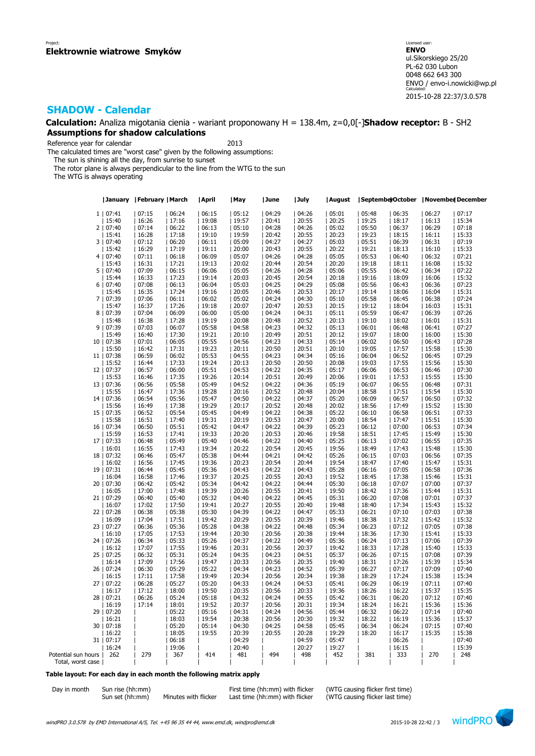**Calculation:** Analiza migotania cienia - wariant proponowany H = 138.4m, z=0,0[-]**Shadow receptor:** B - SH2 **Assumptions for shadow calculations**

Reference year for calendar 2013

The calculated times are "worst case" given by the following assumptions:

The sun is shining all the day, from sunrise to sunset

The rotor plane is always perpendicular to the line from the WTG to the sun

The WTG is always operating

|                     |            | January   February   March |       | April | May   | June  | July  | August | SeptemberOctober |       | November December |       |
|---------------------|------------|----------------------------|-------|-------|-------|-------|-------|--------|------------------|-------|-------------------|-------|
|                     | 1   07:41  | 07:15                      | 06:24 | 06:15 | 05:12 | 04:29 | 04:26 | 05:01  | 05:48            | 06:35 | 06:27             | 07:17 |
|                     | 15:40      | 16:26                      | 17:16 | 19:08 | 19:57 | 20:41 | 20:55 | 20:25  | 19:25            | 18:17 | 16:13             | 15:34 |
|                     | 2   07:40  | 07:14                      | 06:22 | 06:13 | 05:10 | 04:28 | 04:26 | 05:02  | 05:50            | 06:37 | 06:29             | 07:18 |
|                     | 15:41      | 16:28                      | 17:18 | 19:10 | 19:59 | 20:42 | 20:55 | 20:23  | 19:23            | 18:15 | 16:11             | 15:33 |
|                     | 3   07:40  | 07:12                      | 06:20 | 06:11 | 05:09 | 04:27 | 04:27 | 05:03  | 05:51            | 06:39 | 06:31             | 07:19 |
|                     | 15:42      | 16:29                      | 17:19 | 19:11 | 20:00 | 20:43 | 20:55 | 20:22  | 19:21            | 18:13 | 16:10             | 15:33 |
|                     | 4   07:40  | 07:11                      | 06:18 | 06:09 | 05:07 | 04:26 | 04:28 | 05:05  | 05:53            | 06:40 | 06:32             | 07:21 |
|                     | 15:43      | 16:31                      | 17:21 | 19:13 | 20:02 | 20:44 | 20:54 | 20:20  | 19:18            | 18:11 | 16:08             | 15:32 |
|                     | 5   07:40  | 07:09                      | 06:15 | 06:06 | 05:05 | 04:26 | 04:28 | 05:06  | 05:55            | 06:42 | 06:34             | 07:22 |
|                     | 15:44      | 16:33                      | 17:23 | 19:14 | 20:03 | 20:45 | 20:54 | 20:18  | 19:16            | 18:09 | 16:06             | 15:32 |
|                     |            |                            |       | 06:04 |       |       |       |        |                  |       |                   |       |
|                     | 6   07:40  | 07:08                      | 06:13 |       | 05:03 | 04:25 | 04:29 | 05:08  | 05:56            | 06:43 | 06:36             | 07:23 |
|                     | 15:45      | 16:35                      | 17:24 | 19:16 | 20:05 | 20:46 | 20:53 | 20:17  | 19:14            | 18:06 | 16:04<br>06:38    | 15:31 |
|                     | 7   07:39  | 07:06                      | 06:11 | 06:02 | 05:02 | 04:24 | 04:30 | 05:10  | 05:58            | 06:45 |                   | 07:24 |
|                     | 15:47      | 16:37                      | 17:26 | 19:18 | 20:07 | 20:47 | 20:53 | 20:15  | 19:12            | 18:04 | 16:03             | 15:31 |
|                     | 8   07:39  | 07:04                      | 06:09 | 06:00 | 05:00 | 04:24 | 04:31 | 05:11  | 05:59            | 06:47 | 06:39             | 07:26 |
|                     | 15:48      | 16:38                      | 17:28 | 19:19 | 20:08 | 20:48 | 20:52 | 20:13  | 19:10            | 18:02 | 16:01             | 15:31 |
| 9                   | 07:39      | 07:03                      | 06:07 | 05:58 | 04:58 | 04:23 | 04:32 | 05:13  | 06:01            | 06:48 | 06:41             | 07:27 |
|                     | 15:49      | 16:40                      | 17:30 | 19:21 | 20:10 | 20:49 | 20:51 | 20:12  | 19:07            | 18:00 | 16:00             | 15:30 |
| 10                  | 07:38      | 07:01                      | 06:05 | 05:55 | 04:56 | 04:23 | 04:33 | 05:14  | 06:02            | 06:50 | 06:43             | 07:28 |
|                     | 15:50      | 16:42                      | 17:31 | 19:23 | 20:11 | 20:50 | 20:51 | 20:10  | 19:05            | 17:57 | 15:58             | 15:30 |
|                     | 11   07:38 | 06:59                      | 06:02 | 05:53 | 04:55 | 04:23 | 04:34 | 05:16  | 06:04            | 06:52 | 06:45             | 07:29 |
|                     | 15:52      | 16:44                      | 17:33 | 19:24 | 20:13 | 20:50 | 20:50 | 20:08  | 19:03            | 17:55 | 15:56             | 15:30 |
|                     | 12   07:37 | 06:57                      | 06:00 | 05:51 | 04:53 | 04:22 | 04:35 | 05:17  | 06:06            | 06:53 | 06:46             | 07:30 |
|                     | 15:53      | 16:46                      | 17:35 | 19:26 | 20:14 | 20:51 | 20:49 | 20:06  | 19:01            | 17:53 | 15:55             | 15:30 |
|                     | 13   07:36 | 06:56                      | 05:58 | 05:49 | 04:52 | 04:22 | 04:36 | 05:19  | 06:07            | 06:55 | 06:48             | 07:31 |
|                     | 15:55      | 16:47                      | 17:36 | 19:28 | 20:16 | 20:52 | 20:48 | 20:04  | 18:58            | 17:51 | 15:54             | 15:30 |
|                     | 14   07:36 | 06:54                      | 05:56 | 05:47 | 04:50 | 04:22 | 04:37 | 05:20  | 06:09            | 06:57 | 06:50             | 07:32 |
|                     | 15:56      | 16:49                      | 17:38 | 19:29 | 20:17 | 20:52 | 20:48 | 20:02  | 18:56            | 17:49 | 15:52             | 15:30 |
|                     | 15   07:35 | 06:52                      | 05:54 | 05:45 | 04:49 | 04:22 | 04:38 | 05:22  | 06:10            | 06:58 | 06:51             | 07:33 |
|                     | 15:58      | 16:51                      | 17:40 | 19:31 | 20:19 | 20:53 | 20:47 | 20:00  | 18:54            | 17:47 | 15:51             | 15:30 |
| 16                  | 07:34      | 06:50                      | 05:51 | 05:42 | 04:47 | 04:22 | 04:39 | 05:23  | 06:12            | 07:00 | 06:53             | 07:34 |
|                     | 15:59      | 16:53                      | 17:41 | 19:33 | 20:20 | 20:53 | 20:46 | 19:58  | 18:51            | 17:45 | 15:49             | 15:30 |
|                     | 17   07:33 | 06:48                      | 05:49 | 05:40 | 04:46 | 04:22 | 04:40 | 05:25  | 06:13            | 07:02 | 06:55             | 07:35 |
|                     | 16:01      | 16:55                      | 17:43 | 19:34 | 20:22 | 20:54 | 20:45 | 19:56  | 18:49            | 17:43 | 15:48             | 15:30 |
|                     | 18   07:32 | 06:46                      | 05:47 | 05:38 | 04:44 | 04:21 | 04:42 | 05:26  | 06:15            | 07:03 | 06:56             | 07:35 |
|                     | 16:02      | 16:56                      | 17:45 | 19:36 | 20:23 | 20:54 | 20:44 | 19:54  | 18:47            | 17:40 | 15:47             | 15:31 |
| 19                  | 07:31      | 06:44                      | 05:45 | 05:36 | 04:43 | 04:22 | 04:43 | 05:28  | 06:16            | 07:05 | 06:58             | 07:36 |
|                     | 16:04      | 16:58                      | 17:46 | 19:37 | 20:25 | 20:55 | 20:43 | 19:52  | 18:45            | 17:38 | 15:46             | 15:31 |
| 20                  | 07:30      | 06:42                      | 05:42 | 05:34 | 04:42 | 04:22 | 04:44 | 05:30  | 06:18            | 07:07 | 07:00             | 07:37 |
|                     | 16:05      | 17:00                      | 17:48 | 19:39 | 20:26 | 20:55 | 20:41 | 19:50  | 18:42            | 17:36 | 15:44             | 15:31 |
|                     | 21   07:29 | 06:40                      | 05:40 | 05:32 | 04:40 | 04:22 | 04:45 | 05:31  | 06:20            | 07:08 | 07:01             | 07:37 |
|                     | 16:07      | 17:02                      | 17:50 | 19:41 | 20:27 | 20:55 | 20:40 | 19:48  | 18:40            | 17:34 | 15:43             | 15:32 |
|                     | 22   07:28 | 06:38                      | 05:38 | 05:30 | 04:39 | 04:22 | 04:47 | 05:33  | 06:21            | 07:10 | 07:03             | 07:38 |
|                     | 16:09      | 17:04                      | 17:51 | 19:42 | 20:29 | 20:55 | 20:39 | 19:46  | 18:38            | 17:32 | 15:42             | 15:32 |
| 23                  | 07:27      | 06:36                      | 05:36 | 05:28 | 04:38 | 04:22 | 04:48 | 05:34  | 06:23            | 07:12 | 07:05             | 07:38 |
|                     | 16:10      | 17:05                      | 17:53 | 19:44 | 20:30 | 20:56 | 20:38 | 19:44  | 18:36            | 17:30 | 15:41             | 15:33 |
|                     | 24   07:26 | 06:34                      | 05:33 | 05:26 | 04:37 | 04:22 | 04:49 | 05:36  | 06:24            | 07:13 | 07:06             | 07:39 |
|                     | 16:12      | 17:07                      | 17:55 | 19:46 | 20:31 | 20:56 | 20:37 | 19:42  | 18:33            | 17:28 | 15:40             | 15:33 |
|                     | 25   07:25 | 06:32                      | 05:31 | 05:24 | 04:35 | 04:23 | 04:51 | 05:37  | 06:26            | 07:15 | 07:08             | 07:39 |
|                     | 16:14      | 17:09                      | 17:56 | 19:47 | 20:33 | 20:56 | 20:35 | 19:40  | 18:31            | 17:26 | 15:39             | 15:34 |
|                     | 26   07:24 | 06:30                      | 05:29 | 05:22 | 04:34 | 04:23 | 04:52 | 05:39  | 06:27            | 07:17 | 07:09             | 07:40 |
|                     | 16:15      | 17:11                      | 17:58 | 19:49 | 20:34 | 20:56 | 20:34 | 19:38  | 18:29            | 17:24 | 15:38             | 15:34 |
| 27                  | 07:22      | 06:28                      | 05:27 | 05:20 | 04:33 | 04:24 | 04:53 | 05:41  | 06:29            | 06:19 | 07:11             | 07:40 |
|                     | 16:17      | 17:12                      | 18:00 | 19:50 | 20:35 | 20:56 | 20:33 | 19:36  | 18:26            | 16:22 | 15:37             | 15:35 |
| 28                  | 07:21      | 06:26                      | 05:24 | 05:18 | 04:32 | 04:24 | 04:55 | 05:42  | 06:31            | 06:20 | 07:12             | 07:40 |
|                     | 16:19      | 17:14                      | 18:01 | 19:52 | 20:37 | 20:56 | 20:31 | 19:34  | 18:24            | 16:21 | 15:36             | 15:36 |
|                     | 29   07:20 |                            | 05:22 | 05:16 | 04:31 | 04:24 | 04:56 | 05:44  | 06:32            | 06:22 | 07:14             | 07:40 |
|                     | 16:21      |                            | 18:03 | 19:54 | 20:38 | 20:56 | 20:30 | 19:32  | 18:22            | 16:19 | 15:36             | 15:37 |
| 30                  | 07:18      |                            | 05:20 | 05:14 | 04:30 | 04:25 | 04:58 | 05:45  | 06:34            | 06:24 | 07:15             | 07:40 |
|                     | 16:22      |                            | 18:05 | 19:55 | 20:39 | 20:55 | 20:28 | 19:29  | 18:20            | 16:17 | 15:35             | 15:38 |
|                     | 31   07:17 |                            | 06:18 |       | 04:29 |       | 04:59 | 05:47  |                  | 06:26 |                   | 07:40 |
|                     | 16:24      |                            | 19:06 |       | 20:40 |       | 20:27 | 19:27  |                  | 16:15 |                   | 15:39 |
| Potential sun hours | 262        | 279                        | 367   | 414   | 481   | 494   | 498   | 452    | 381              | 333   | 270               | 248   |
| Total, worst case   |            |                            |       |       |       |       |       |        |                  |       |                   |       |
|                     |            |                            |       |       |       |       |       |        |                  |       |                   |       |

### **Table layout: For each day in each month the following matrix apply**

| Day in month | Sun rise (hh:mm |
|--------------|-----------------|
|              | Sun set (hh:mm) |

Sun set (hh:mm) Minutes with flicker Last time (hh:mm) with flicker

Day in month Sun rise (hh:mm)<br>Sun set (hh:mm) Minutes with flicker Last time (hh:mm) with flicker (WTG causing flicker last time)

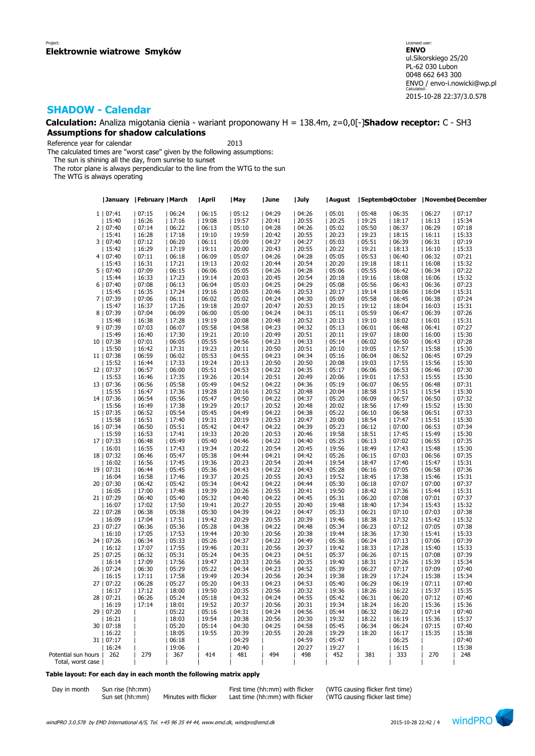**Calculation:** Analiza migotania cienia - wariant proponowany H = 138.4m, z=0,0[-]**Shadow receptor:** C - SH3 **Assumptions for shadow calculations**

Reference year for calendar 2013

The calculated times are "worst case" given by the following assumptions:

The sun is shining all the day, from sunrise to sunset

The rotor plane is always perpendicular to the line from the WTG to the sun

The WTG is always operating

|                     | January    | February   March |       | April | May   | June  | July  | August | Septembe rOctober |       | November December |       |
|---------------------|------------|------------------|-------|-------|-------|-------|-------|--------|-------------------|-------|-------------------|-------|
|                     | 1   07:41  | 07:15            | 06:24 | 06:15 | 05:12 | 04:29 | 04:26 | 05:01  | 05:48             | 06:35 | 06:27             | 07:17 |
|                     | 15:40      | 16:26            | 17:16 | 19:08 | 19:57 | 20:41 | 20:55 | 20:25  | 19:25             | 18:17 | 16:13             | 15:34 |
|                     |            |                  |       | 06:13 |       |       |       |        |                   |       |                   |       |
|                     | 2   07:40  | 07:14            | 06:22 |       | 05:10 | 04:28 | 04:26 | 05:02  | 05:50             | 06:37 | 06:29             | 07:18 |
|                     | 15:41      | 16:28            | 17:18 | 19:10 | 19:59 | 20:42 | 20:55 | 20:23  | 19:23             | 18:15 | 16:11             | 15:33 |
|                     | 3   07:40  | 07:12            | 06:20 | 06:11 | 05:09 | 04:27 | 04:27 | 05:03  | 05:51             | 06:39 | 06:31             | 07:19 |
|                     | 15:42      | 16:29            | 17:19 | 19:11 | 20:00 | 20:43 | 20:55 | 20:22  | 19:21             | 18:13 | 16:10             | 15:33 |
|                     | 4   07:40  | 07:11            | 06:18 | 06:09 | 05:07 | 04:26 | 04:28 | 05:05  | 05:53             | 06:40 | 06:32             | 07:21 |
|                     | 15:43      | 16:31            | 17:21 | 19:13 | 20:02 | 20:44 | 20:54 | 20:20  | 19:18             | 18:11 | 16:08             | 15:32 |
|                     | 5   07:40  | 07:09            | 06:15 | 06:06 | 05:05 | 04:26 | 04:28 | 05:06  | 05:55             | 06:42 | 06:34             | 07:22 |
|                     | 15:44      | 16:33            | 17:23 | 19:14 | 20:03 | 20:45 | 20:54 | 20:18  | 19:16             | 18:08 | 16:06             | 15:32 |
|                     |            |                  |       |       |       |       |       |        |                   |       |                   |       |
|                     | 6   07:40  | 07:08            | 06:13 | 06:04 | 05:03 | 04:25 | 04:29 | 05:08  | 05:56             | 06:43 | 06:36             | 07:23 |
|                     | 15:45      | 16:35            | 17:24 | 19:16 | 20:05 | 20:46 | 20:53 | 20:17  | 19:14             | 18:06 | 16:04             | 15:31 |
|                     | 7   07:39  | 07:06            | 06:11 | 06:02 | 05:02 | 04:24 | 04:30 | 05:09  | 05:58             | 06:45 | 06:38             | 07:24 |
|                     | 15:47      | 16:37            | 17:26 | 19:18 | 20:07 | 20:47 | 20:53 | 20:15  | 19:12             | 18:04 | 16:03             | 15:31 |
|                     | 8   07:39  | 07:04            | 06:09 | 06:00 | 05:00 | 04:24 | 04:31 | 05:11  | 05:59             | 06:47 | 06:39             | 07:26 |
|                     | 15:48      | 16:38            | 17:28 | 19:19 | 20:08 | 20:48 | 20:52 | 20:13  | 19:10             | 18:02 | 16:01             | 15:31 |
| 9                   | 07:39      | 07:03            | 06:07 | 05:58 | 04:58 | 04:23 | 04:32 | 05:13  | 06:01             | 06:48 | 06:41             | 07:27 |
|                     | 15:49      | 16:40            | 17:30 | 19:21 | 20:10 | 20:49 | 20:51 | 20:11  | 19:07             | 18:00 | 16:00             | 15:30 |
|                     |            |                  |       |       |       |       |       |        |                   |       |                   |       |
|                     | 10   07:38 | 07:01            | 06:05 | 05:55 | 04:56 | 04:23 | 04:33 | 05:14  | 06:02             | 06:50 | 06:43             | 07:28 |
|                     | 15:50      | 16:42            | 17:31 | 19:23 | 20:11 | 20:50 | 20:51 | 20:10  | 19:05             | 17:57 | 15:58             | 15:30 |
|                     | 11   07:38 | 06:59            | 06:02 | 05:53 | 04:55 | 04:23 | 04:34 | 05:16  | 06:04             | 06:52 | 06:45             | 07:29 |
|                     | 15:52      | 16:44            | 17:33 | 19:24 | 20:13 | 20:50 | 20:50 | 20:08  | 19:03             | 17:55 | 15:56             | 15:30 |
|                     | 12   07:37 | 06:57            | 06:00 | 05:51 | 04:53 | 04:22 | 04:35 | 05:17  | 06:06             | 06:53 | 06:46             | 07:30 |
|                     | 15:53      | 16:46            | 17:35 | 19:26 | 20:14 | 20:51 | 20:49 | 20:06  | 19:01             | 17:53 | 15:55             | 15:30 |
|                     | 13   07:36 | 06:56            | 05:58 | 05:49 | 04:52 | 04:22 | 04:36 | 05:19  | 06:07             | 06:55 | 06:48             | 07:31 |
|                     | 15:55      |                  | 17:36 | 19:28 | 20:16 | 20:52 | 20:48 | 20:04  | 18:58             |       | 15:54             | 15:30 |
|                     |            | 16:47            |       |       |       |       |       |        |                   | 17:51 |                   |       |
|                     | 14   07:36 | 06:54            | 05:56 | 05:47 | 04:50 | 04:22 | 04:37 | 05:20  | 06:09             | 06:57 | 06:50             | 07:32 |
|                     | 15:56      | 16:49            | 17:38 | 19:29 | 20:17 | 20:52 | 20:48 | 20:02  | 18:56             | 17:49 | 15:52             | 15:30 |
|                     | 15   07:35 | 06:52            | 05:54 | 05:45 | 04:49 | 04:22 | 04:38 | 05:22  | 06:10             | 06:58 | 06:51             | 07:33 |
|                     | 15:58      | 16:51            | 17:40 | 19:31 | 20:19 | 20:53 | 20:47 | 20:00  | 18:54             | 17:47 | 15:51             | 15:30 |
|                     | 16   07:34 | 06:50            | 05:51 | 05:42 | 04:47 | 04:22 | 04:39 | 05:23  | 06:12             | 07:00 | 06:53             | 07:34 |
|                     | 15:59      | 16:53            | 17:41 | 19:33 | 20:20 | 20:53 | 20:46 | 19:58  | 18:51             | 17:45 | 15:49             | 15:30 |
|                     | 17   07:33 | 06:48            | 05:49 | 05:40 | 04:46 | 04:22 | 04:40 | 05:25  | 06:13             | 07:02 | 06:55             | 07:35 |
|                     | 16:01      | 16:55            | 17:43 | 19:34 | 20:22 | 20:54 | 20:45 | 19:56  | 18:49             |       | 15:48             | 15:30 |
|                     |            |                  |       |       |       |       |       |        |                   | 17:43 |                   |       |
|                     | 18   07:32 | 06:46            | 05:47 | 05:38 | 04:44 | 04:21 | 04:42 | 05:26  | 06:15             | 07:03 | 06:56             | 07:35 |
|                     | 16:02      | 16:56            | 17:45 | 19:36 | 20:23 | 20:54 | 20:44 | 19:54  | 18:47             | 17:40 | 15:47             | 15:31 |
|                     | 19   07:31 | 06:44            | 05:45 | 05:36 | 04:43 | 04:22 | 04:43 | 05:28  | 06:16             | 07:05 | 06:58             | 07:36 |
|                     | 16:04      | 16:58            | 17:46 | 19:37 | 20:25 | 20:55 | 20:43 | 19:52  | 18:45             | 17:38 | 15:46             | 15:31 |
| 20                  | 07:30      | 06:42            | 05:42 | 05:34 | 04:42 | 04:22 | 04:44 | 05:30  | 06:18             | 07:07 | 07:00             | 07:37 |
|                     | 16:05      | 17:00            | 17:48 | 19:39 | 20:26 | 20:55 | 20:41 | 19:50  | 18:42             | 17:36 | 15:44             | 15:31 |
| 21                  | 07:29      | 06:40            | 05:40 | 05:32 | 04:40 | 04:22 | 04:45 | 05:31  | 06:20             | 07:08 | 07:01             | 07:37 |
|                     | 16:07      | 17:02            | 17:50 | 19:41 | 20:27 | 20:55 | 20:40 | 19:48  | 18:40             | 17:34 | 15:43             | 15:32 |
|                     | 22   07:28 | 06:38            | 05:38 | 05:30 | 04:39 | 04:22 | 04:47 | 05:33  | 06:21             | 07:10 | 07:03             | 07:38 |
|                     |            |                  |       |       |       |       |       |        |                   |       |                   |       |
|                     | 16:09      | 17:04            | 17:51 | 19:42 | 20:29 | 20:55 | 20:39 | 19:46  | 18:38             | 17:32 | 15:42             | 15:32 |
| 23                  | 07:27      | 06:36            | 05:36 | 05:28 | 04:38 | 04:22 | 04:48 | 05:34  | 06:23             | 07:12 | 07:05             | 07:38 |
|                     | 16:10      | 17:05            | 17:53 | 19:44 | 20:30 | 20:56 | 20:38 | 19:44  | 18:36             | 17:30 | 15:41             | 15:33 |
| 24                  | 07:26      | 06:34            | 05:33 | 05:26 | 04:37 | 04:22 | 04:49 | 05:36  | 06:24             | 07:13 | 07:06             | 07:39 |
|                     | 16:12      | 17:07            | 17:55 | 19:46 | 20:31 | 20:56 | 20:37 | 19:42  | 18:33             | 17:28 | 15:40             | 15:33 |
|                     | 25   07:25 | 06:32            | 05:31 | 05:24 | 04:35 | 04:23 | 04:51 | 05:37  | 06:26             | 07:15 | 07:08             | 07:39 |
|                     | 16:14      | 17:09            | 17:56 | 19:47 | 20:33 | 20:56 | 20:35 | 19:40  | 18:31             | 17:26 | 15:39             | 15:34 |
|                     | 26   07:24 | 06:30            | 05:29 | 05:22 | 04:34 | 04:23 | 04:52 | 05:39  | 06:27             | 07:17 | 07:09             | 07:40 |
|                     | 16:15      | 17:11            | 17:58 | 19:49 | 20:34 | 20:56 | 20:34 | 19:38  | 18:29             | 17:24 | 15:38             | 15:34 |
|                     |            |                  |       |       |       |       |       |        |                   |       |                   |       |
| 27                  | 07:22      | 06:28            | 05:27 | 05:20 | 04:33 | 04:23 | 04:53 | 05:40  | 06:29             | 06:19 | 07:11             | 07:40 |
|                     | 16:17      | 17:12            | 18:00 | 19:50 | 20:35 | 20:56 | 20:32 | 19:36  | 18:26             | 16:22 | 15:37             | 15:35 |
| 28                  | 07:21      | 06:26            | 05:24 | 05:18 | 04:32 | 04:24 | 04:55 | 05:42  | 06:31             | 06:20 | 07:12             | 07:40 |
|                     | 16:19      | 17:14            | 18:01 | 19:52 | 20:37 | 20:56 | 20:31 | 19:34  | 18:24             | 16:20 | 15:36             | 15:36 |
|                     | 29   07:20 |                  | 05:22 | 05:16 | 04:31 | 04:24 | 04:56 | 05:44  | 06:32             | 06:22 | 07:14             | 07:40 |
|                     | 16:21      |                  | 18:03 | 19:54 | 20:38 | 20:56 | 20:30 | 19:32  | 18:22             | 16:19 | 15:36             | 15:37 |
| 30                  | 07:18      |                  | 05:20 | 05:14 | 04:30 | 04:25 | 04:58 | 05:45  | 06:34             | 06:24 | 07:15             | 07:40 |
|                     | 16:22      |                  | 18:05 | 19:55 | 20:39 | 20:55 | 20:28 | 19:29  | 18:20             | 16:17 | 15:35             | 15:38 |
|                     |            |                  | 06:18 |       |       |       |       |        |                   |       |                   |       |
|                     | 31   07:17 |                  |       |       | 04:29 |       | 04:59 | 05:47  |                   | 06:25 |                   | 07:40 |
|                     | 16:24      |                  | 19:06 |       | 20:40 |       | 20:27 | 19:27  |                   | 16:15 |                   | 15:38 |
| Potential sun hours | 262        | 279              | 367   | 414   | 481   | 494   | 498   | 452    | 381               | 333   | 270               | 248   |
| Total, worst case   |            |                  |       |       |       |       |       |        |                   |       |                   |       |

### **Table layout: For each day in each month the following matrix apply**

| Day in month | Sun rise (hh:mm) |
|--------------|------------------|
|              | Sun set (hh:mm)  |

 $\text{S}(\hat{\text{hh}}:\hat{\text{mm}})$  Minutes with flicker Last time (hh:mm) with flicker

Day in month Sun rise (hh:mm)<br>Sun set (hh:mm) Minutes with flicker Last time (hh:mm) with flicker (WTG causing flicker last time)

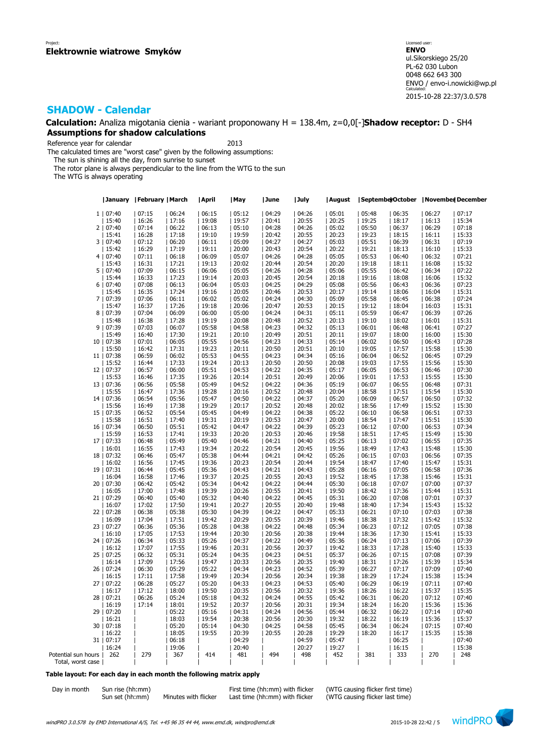**Calculation:** Analiza migotania cienia - wariant proponowany H = 138.4m, z=0,0[-]**Shadow receptor:** D - SH4 **Assumptions for shadow calculations**

Reference year for calendar 2013

The calculated times are "worst case" given by the following assumptions:

The sun is shining all the day, from sunrise to sunset

The rotor plane is always perpendicular to the line from the WTG to the sun

The WTG is always operating

|                     |            | January   February   March |       | April | May            | June  | July  | August | SeptemberOctober |       | November December |       |
|---------------------|------------|----------------------------|-------|-------|----------------|-------|-------|--------|------------------|-------|-------------------|-------|
|                     | 1   07:40  | 07:15                      | 06:24 | 06:15 | 05:12          | 04:29 | 04:26 | 05:01  | 05:48            | 06:35 | 06:27             | 07:17 |
|                     | 15:40      | 16:26                      | 17:16 | 19:08 | 19:57          | 20:41 | 20:55 | 20:25  | 19:25            | 18:17 | 16:13             | 15:34 |
|                     | 2   07:40  | 07:14                      | 06:22 | 06:13 | 05:10          | 04:28 | 04:26 | 05:02  | 05:50            | 06:37 | 06:29             | 07:18 |
|                     | 15:41      | 16:28                      | 17:18 | 19:10 | 19:59          | 20:42 | 20:55 | 20:23  | 19:23            | 18:15 | 16:11             | 15:33 |
|                     | 3   07:40  | 07:12                      | 06:20 | 06:11 | 05:09          | 04:27 | 04:27 | 05:03  | 05:51            | 06:39 | 06:31             | 07:19 |
|                     | 15:42      | 16:29                      | 17:19 | 19:11 | 20:00          | 20:43 | 20:54 | 20:22  | 19:21            | 18:13 | 16:10             | 15:33 |
|                     | 4   07:40  | 07:11                      | 06:18 | 06:09 | 05:07          | 04:26 | 04:28 | 05:05  | 05:53            | 06:40 | 06:32             | 07:21 |
|                     | 15:43      | 16:31                      | 17:21 | 19:13 | 20:02          | 20:44 | 20:54 | 20:20  | 19:18            | 18:11 | 16:08             | 15:32 |
| 5 <sub>1</sub>      | 07:40      | 07:09                      | 06:15 | 06:06 | 05:05          | 04:26 | 04:28 | 05:06  | 05:55            | 06:42 | 06:34             | 07:22 |
|                     | 15:44      | 16:33                      | 17:23 | 19:14 | 20:03          | 20:45 | 20:54 | 20:18  | 19:16            | 18:08 | 16:06             | 15:32 |
|                     |            |                            |       | 06:04 |                |       |       |        |                  |       |                   |       |
|                     | 6   07:40  | 07:08                      | 06:13 |       | 05:03          | 04:25 | 04:29 | 05:08  | 05:56            | 06:43 | 06:36             | 07:23 |
|                     | 15:45      | 16:35                      | 17:24 | 19:16 | 20:05<br>05:02 | 20:46 | 20:53 | 20:17  | 19:14            | 18:06 | 16:04<br>06:38    | 15:31 |
|                     | 7   07:39  | 07:06                      | 06:11 | 06:02 |                | 04:24 | 04:30 | 05:09  | 05:58            | 06:45 |                   | 07:24 |
|                     | 15:47      | 16:37                      | 17:26 | 19:18 | 20:06          | 20:47 | 20:53 | 20:15  | 19:12            | 18:04 | 16:03             | 15:31 |
|                     | 8   07:39  | 07:04                      | 06:09 | 06:00 | 05:00          | 04:24 | 04:31 | 05:11  | 05:59            | 06:47 | 06:39             | 07:26 |
|                     | 15:48      | 16:38                      | 17:28 | 19:19 | 20:08          | 20:48 | 20:52 | 20:13  | 19:10            | 18:02 | 16:01             | 15:31 |
| 9                   | 07:39      | 07:03                      | 06:07 | 05:58 | 04:58          | 04:23 | 04:32 | 05:13  | 06:01            | 06:48 | 06:41             | 07:27 |
|                     | 15:49      | 16:40                      | 17:30 | 19:21 | 20:10          | 20:49 | 20:51 | 20:11  | 19:07            | 18:00 | 16:00             | 15:30 |
| 10                  | 07:38      | 07:01                      | 06:05 | 05:55 | 04:56          | 04:23 | 04:33 | 05:14  | 06:02            | 06:50 | 06:43             | 07:28 |
|                     | 15:50      | 16:42                      | 17:31 | 19:23 | 20:11          | 20:50 | 20:51 | 20:10  | 19:05            | 17:57 | 15:58             | 15:30 |
|                     | 11   07:38 | 06:59                      | 06:02 | 05:53 | 04:55          | 04:23 | 04:34 | 05:16  | 06:04            | 06:52 | 06:45             | 07:29 |
|                     | 15:52      | 16:44                      | 17:33 | 19:24 | 20:13          | 20:50 | 20:50 | 20:08  | 19:03            | 17:55 | 15:56             | 15:30 |
|                     | 12   07:37 | 06:57                      | 06:00 | 05:51 | 04:53          | 04:22 | 04:35 | 05:17  | 06:05            | 06:53 | 06:46             | 07:30 |
|                     | 15:53      | 16:46                      | 17:35 | 19:26 | 20:14          | 20:51 | 20:49 | 20:06  | 19:01            | 17:53 | 15:55             | 15:30 |
|                     | 13   07:36 | 06:56                      | 05:58 | 05:49 | 04:52          | 04:22 | 04:36 | 05:19  | 06:07            | 06:55 | 06:48             | 07:31 |
|                     | 15:55      | 16:47                      | 17:36 | 19:28 | 20:16          | 20:52 | 20:48 | 20:04  | 18:58            | 17:51 | 15:54             | 15:30 |
|                     | 14   07:36 | 06:54                      | 05:56 | 05:47 | 04:50          | 04:22 | 04:37 | 05:20  | 06:09            | 06:57 | 06:50             | 07:32 |
|                     | 15:56      | 16:49                      | 17:38 | 19:29 | 20:17          | 20:52 | 20:48 | 20:02  | 18:56            | 17:49 | 15:52             | 15:30 |
|                     | 15   07:35 | 06:52                      | 05:54 | 05:45 | 04:49          | 04:22 | 04:38 | 05:22  | 06:10            | 06:58 | 06:51             | 07:33 |
|                     | 15:58      | 16:51                      | 17:40 | 19:31 | 20:19          | 20:53 | 20:47 | 20:00  | 18:54            | 17:47 | 15:51             | 15:30 |
| 16                  | 07:34      | 06:50                      | 05:51 | 05:42 | 04:47          | 04:22 | 04:39 | 05:23  | 06:12            | 07:00 | 06:53             | 07:34 |
|                     | 15:59      | 16:53                      | 17:41 | 19:33 | 20:20          | 20:53 | 20:46 | 19:58  | 18:51            | 17:45 | 15:49             | 15:30 |
|                     | 17   07:33 | 06:48                      | 05:49 | 05:40 | 04:46          | 04:21 | 04:40 | 05:25  | 06:13            | 07:02 | 06:55             | 07:35 |
|                     | 16:01      | 16:55                      | 17:43 | 19:34 | 20:22          | 20:54 | 20:45 | 19:56  | 18:49            | 17:43 | 15:48             | 15:30 |
|                     | 18   07:32 | 06:46                      | 05:47 | 05:38 | 04:44          | 04:21 | 04:42 | 05:26  | 06:15            | 07:03 | 06:56             | 07:35 |
|                     | 16:02      | 16:56                      | 17:45 | 19:36 | 20:23          | 20:54 | 20:44 | 19:54  | 18:47            | 17:40 | 15:47             | 15:31 |
| 19                  | 07:31      | 06:44                      | 05:45 | 05:36 | 04:43          | 04:21 | 04:43 | 05:28  | 06:16            | 07:05 | 06:58             | 07:36 |
|                     | 16:04      | 16:58                      | 17:46 | 19:37 | 20:25          | 20:55 | 20:43 | 19:52  | 18:45            | 17:38 | 15:46             | 15:31 |
| 20                  | 07:30      | 06:42                      | 05:42 | 05:34 | 04:42          | 04:22 | 04:44 | 05:30  | 06:18            | 07:07 | 07:00             | 07:37 |
|                     | 16:05      | 17:00                      | 17:48 | 19:39 | 20:26          | 20:55 | 20:41 | 19:50  | 18:42            | 17:36 | 15:44             | 15:31 |
|                     | 21   07:29 | 06:40                      | 05:40 | 05:32 | 04:40          | 04:22 | 04:45 | 05:31  | 06:20            | 07:08 | 07:01             | 07:37 |
|                     | 16:07      | 17:02                      | 17:50 | 19:41 | 20:27          | 20:55 | 20:40 | 19:48  | 18:40            | 17:34 | 15:43             | 15:32 |
|                     | 22   07:28 | 06:38                      | 05:38 | 05:30 | 04:39          | 04:22 | 04:47 | 05:33  | 06:21            | 07:10 | 07:03             | 07:38 |
|                     | 16:09      | 17:04                      | 17:51 | 19:42 | 20:29          | 20:55 | 20:39 | 19:46  | 18:38            | 17:32 | 15:42             | 15:32 |
| 23                  | 07:27      | 06:36                      | 05:36 | 05:28 | 04:38          | 04:22 | 04:48 | 05:34  | 06:23            | 07:12 | 07:05             | 07:38 |
|                     | 16:10      | 17:05                      | 17:53 | 19:44 | 20:30          | 20:56 | 20:38 | 19:44  | 18:36            | 17:30 | 15:41             | 15:33 |
|                     | 24   07:26 | 06:34                      | 05:33 | 05:26 | 04:37          | 04:22 | 04:49 | 05:36  | 06:24            | 07:13 | 07:06             | 07:39 |
|                     | 16:12      | 17:07                      | 17:55 | 19:46 | 20:31          | 20:56 | 20:37 | 19:42  | 18:33            | 17:28 | 15:40             | 15:33 |
|                     | 25   07:25 | 06:32                      | 05:31 | 05:24 | 04:35          | 04:23 | 04:51 | 05:37  | 06:26            | 07:15 | 07:08             | 07:39 |
|                     | 16:14      | 17:09                      | 17:56 | 19:47 | 20:33          | 20:56 | 20:35 | 19:40  | 18:31            | 17:26 | 15:39             | 15:34 |
|                     | 26   07:24 | 06:30                      | 05:29 | 05:22 | 04:34          | 04:23 | 04:52 | 05:39  | 06:27            | 07:17 | 07:09             | 07:40 |
|                     | 16:15      | 17:11                      | 17:58 | 19:49 | 20:34          | 20:56 | 20:34 | 19:38  | 18:29            | 17:24 | 15:38             | 15:34 |
| 27                  | 07:22      | 06:28                      | 05:27 | 05:20 | 04:33          | 04:23 | 04:53 | 05:40  | 06:29            | 06:19 | 07:11             | 07:40 |
|                     | 16:17      | 17:12                      | 18:00 | 19:50 | 20:35          | 20:56 | 20:32 | 19:36  | 18:26            | 16:22 | 15:37             | 15:35 |
| 28                  | 07:21      | 06:26                      | 05:24 | 05:18 | 04:32          | 04:24 | 04:55 | 05:42  | 06:31            | 06:20 | 07:12             | 07:40 |
|                     | 16:19      | 17:14                      | 18:01 | 19:52 | 20:37          | 20:56 | 20:31 | 19:34  | 18:24            | 16:20 | 15:36             | 15:36 |
|                     | 29   07:20 |                            | 05:22 | 05:16 | 04:31          | 04:24 | 04:56 | 05:44  | 06:32            | 06:22 | 07:14             | 07:40 |
|                     | 16:21      |                            | 18:03 | 19:54 | 20:38          | 20:56 | 20:30 | 19:32  | 18:22            | 16:19 | 15:36             | 15:37 |
| 30                  | 07:18      |                            | 05:20 | 05:14 | 04:30          | 04:25 | 04:58 | 05:45  | 06:34            | 06:24 | 07:15             | 07:40 |
|                     | 16:22      |                            | 18:05 | 19:55 | 20:39          | 20:55 | 20:28 | 19:29  | 18:20            | 16:17 | 15:35             | 15:38 |
|                     | 31   07:17 |                            | 06:18 |       | 04:29          |       | 04:59 | 05:47  |                  | 06:25 |                   | 07:40 |
|                     | 16:24      |                            | 19:06 |       | 20:40          |       | 20:27 | 19:27  |                  | 16:15 |                   | 15:38 |
| Potential sun hours | 262        | 279                        | 367   | 414   | 481            | 494   | 498   | 452    | 381              | 333   | 270               | 248   |
| Total, worst case   |            |                            |       |       |                |       |       |        |                  |       |                   |       |

### **Table layout: For each day in each month the following matrix apply**

| Day in month | Sun rise (hh:mm |
|--------------|-----------------|
|              | Sun set (hh:mm) |

 $(hh:mm)$  Minutes with flicker Last time  $(hh:mm)$  with flicker

Day in month Sun rise (hh:mm)<br>Sun set (hh:mm) Minutes with flicker Last time (hh:mm) with flicker (WTG causing flicker last time)

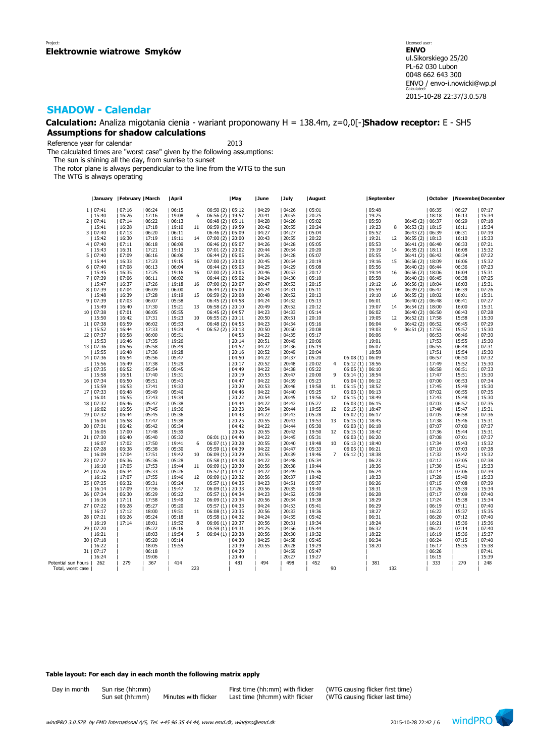**Calculation:** Analiza migotania cienia - wariant proponowany H = 138.4m, z=0,0[-]**Shadow receptor:** E - SH5 **Assumptions for shadow calculations**

Reference year for calendar 2013

The calculated times are "worst case" given by the following assumptions:

The sun is shining all the day, from sunrise to sunset

The rotor plane is always perpendicular to the line from the WTG to the sun

The WTG is always operating

|                     | January   February   March |       |                | April          |     |                                         | May   | June  | July  | August         |                |                      | September      |     |                      |       |                | October   November  December |
|---------------------|----------------------------|-------|----------------|----------------|-----|-----------------------------------------|-------|-------|-------|----------------|----------------|----------------------|----------------|-----|----------------------|-------|----------------|------------------------------|
|                     | 1   07:41                  | 07:16 | 06:24          | 06:15          |     | $06:50(2)$   $05:12$                    |       | 04:29 | 04:26 | 05:01          |                |                      | 05:48          |     |                      | 06:35 | 06:27          | 07:17                        |
|                     | 15:40                      | 16:26 | 17:16          | 19:08          | 6   | $06:56(2)$   19:57                      |       | 20:41 | 20:55 | 20:25          |                |                      | 19:25          |     |                      | 18:18 | 16:13          | 15:34                        |
|                     | 2   07:41                  | 07:14 | 06:22          | 06:13          |     | 06:48(2)   05:11                        |       | 04:28 | 04:26 | 05:02          |                |                      | 05:50          |     | $06:45(2)$   06:37   |       | 06:29          | 07:18                        |
|                     |                            |       |                |                |     |                                         |       |       |       |                |                |                      |                | 8   | $06:53(2)$   18:15   |       |                |                              |
|                     | 15:41                      | 16:28 | 17:18          | 19:10          | 11  | 06:59 (2)   19:59                       |       | 20:42 | 20:55 | 20:24          |                |                      | 19:23          |     |                      |       | 16:11          | 15:34                        |
|                     | 3   07:40                  | 07:13 | 06:20          | 06:11          |     | 06:46 (2)   05:09                       |       | 04:27 | 04:27 | 05:04          |                |                      | 05:52          |     | $06:43(2)$   $06:39$ |       | 06:31          | 07:19                        |
|                     | 15:42                      | 16:30 | 17:19          | 19:11          | 14  | $07:00(2)$   20:00                      |       | 20:43 | 20:55 | 20:22          |                |                      | 19:21          | 12  | $06:55(2)$   18:13   |       | 16:10          | 15:33                        |
|                     | 4 07:40                    | 07:11 | 06:18          | 06:09          |     | 06:46 (2)   05:07                       |       | 04:26 | 04:28 | 05:05          |                |                      | 05:53          |     | $06:41(2)$   $06:40$ |       | 06:33          | 07:21                        |
|                     | 15:43                      | 16:31 | 17:21          | 19:13          | 15  | $07:01(2)$   20:02                      |       | 20:44 | 20:54 | 20:20          |                |                      | 19:19          | 14  | $06:55(2)$   18:11   |       | 16:08          | 15:32                        |
|                     | 5   07:40                  | 07:09 | 06:16          | 06:06          |     | $06:44(2)$   $05:05$                    |       | 04:26 | 04:28 | 05:07          |                |                      | 05:55          |     | $06:41(2)$   $06:42$ |       | 06:34          | 07:22                        |
|                     | 15:44                      | 16:33 | 17:23          | 19:15          | 16  | $07:00(2)$   20:03                      |       | 20:45 | 20:54 | 20:19          |                |                      | 19:16          | 15  | $06:56(2)$   18:09   |       | 16:06          | 15:32                        |
|                     | 6 07:40                    | 07:08 | 06:13          | 06:04          |     | 06:44 (2)   05:03                       |       | 04:25 | 04:29 | 05:08          |                |                      | 05:56          |     | 06:40 (2)   06:44    |       | 06:36          | 07:23                        |
|                     | 15:45                      | 16:35 | 17:25          | 19:16          | 16  | $07:00(2)$   20:05                      |       | 20:46 | 20:53 | 20:17          |                |                      | 19:14          | 16  | $06:56(2)$   18:06   |       | 16:04          | 15:31                        |
|                     | 7   07:39                  | 07:06 | 06:11          | 06:02          |     | $06:44(2)$   $05:02$                    |       | 04:24 | 04:30 | 05:10          |                |                      | 05:58          |     | $06:40(2)$   06:45   |       | 06:38          | 07:25                        |
|                     | 15:47                      | 16:37 | 17:26          | 19:18          | 16  | $07:00(2)$   20:07                      |       | 20:47 | 20:53 | 20:15          |                |                      | 19:12          | 16  | $06:56(2)$   18:04   |       | 16:03          | 15:31                        |
|                     | 8   07:39                  | 07:04 | 06:09          | 06:00          |     | 06:44 (2)   05:00                       |       | 04:24 | 04:31 | 05:11          |                |                      | 05:59          |     | 06:39 (2)   06:47    |       | 06:39          | 07:26                        |
|                     | 15:48                      | 16:39 | 17:28          | 19:19          | 15  | $06:59(2)$   20:08                      |       | 20:48 | 20:52 | 20:13          |                |                      | 19:10          | 16  | $06:55(2)$   18:02   |       | 16:01          | 15:31                        |
|                     | 9   07:39                  | 07:03 | 06:07          | 05:58          |     | 06:45 (2)   04:58                       |       | 04:24 | 04:32 | 05:13          |                |                      | 06:01          |     | $06:40(2)$   06:48   |       | 06:41          | 07:27                        |
|                     | 15:49                      | 16:40 | 17:30          | 19:21          | 13  | 06:58 (2)   20:10                       |       | 20:49 | 20:52 | 20:12          |                |                      | 19:07          | 14  | $06:54(2)$   18:00   |       | 16:00          | 15:31                        |
|                     | 10   07:38                 | 07:01 | 06:05          | 05:55          |     | 06:45 (2)   04:57                       |       | 04:23 | 04:33 | 05:14          |                |                      | 06:02          |     | $06:40(2)$   06:50   |       | 06:43          | 07:28                        |
|                     | 15:50                      | 16:42 | 17:31          | 19:23          | 10  | $06:55(2)$   20:11                      |       | 20:50 | 20:51 | 20:10          |                |                      | 19:05          | 12  | $06:52(2)$   17:58   |       | 15:58          | 15:30                        |
|                     | 11   07:38                 | 06:59 | 06:02          | 05:53          |     | 06:48 (2)   04:55                       |       | 04:23 | 04:34 | 05:16          |                |                      | 06:04          |     | $06:42(2)$   $06:52$ |       | 06:45          | 07:29                        |
|                     | 15:52                      | 16:44 | 17:33          | 19:24          | 4   | $06:52(2)$   20:13                      |       | 20:50 | 20:50 | 20:08          |                |                      | 19:03          | 9   | $06:51(2)$   17:55   |       | 15:57          | 15:30                        |
|                     | 12   07:37                 |       |                |                |     |                                         |       |       |       | 05:17          |                |                      | 06:06          |     |                      |       |                | 07:30                        |
|                     |                            | 06:58 | 06:00          | 05:51          |     |                                         | 04:53 | 04:22 | 04:35 |                |                |                      |                |     |                      | 06:53 | 06:46          |                              |
|                     | 15:53                      | 16:46 | 17:35          | 19:26          |     |                                         | 20:14 | 20:51 | 20:49 | 20:06          |                |                      | 19:01          |     |                      | 17:53 | 15:55          | 15:30                        |
|                     | 13   07:36                 | 06:56 | 05:58          | 05:49          |     |                                         | 04:52 | 04:22 | 04:36 | 05:19          |                |                      | 06:07          |     |                      | 06:55 | 06:48          | 07:31                        |
|                     | 15:55                      | 16:48 | 17:36          | 19:28          |     |                                         | 20:16 | 20:52 | 20:49 | 20:04          |                |                      | 18:58          |     |                      | 17:51 | 15:54          | 15:30                        |
|                     | 14   07:36                 | 06:54 | 05:56          | 05:47          |     |                                         | 04:50 | 04:22 | 04:37 | 05:20          |                | 06:08(1)   06:09     |                |     |                      | 06:57 | 06:50          | 07:32                        |
|                     | 15:56                      | 16:49 | 17:38          | 19:29          |     |                                         | 20:17 | 20:52 | 20:48 | 20:02          | 4              | $06:12(1)$   18:56   |                |     |                      | 17:49 | 15:52          | 15:30                        |
|                     | 15   07:35                 | 06:52 | 05:54          | 05:45          |     |                                         | 04:49 | 04:22 | 04:38 | 05:22          |                | $06:05(1)$   $06:10$ |                |     |                      | 06:58 | 06:51          | 07:33                        |
|                     | 15:58                      | 16:51 | 17:40          | 19:31          |     |                                         | 20:19 | 20:53 | 20:47 | 20:00          | 9              | $06:14(1)$   18:54   |                |     |                      | 17:47 | 15:51          | 15:30                        |
|                     | 16   07:34                 | 06:50 | 05:51          | 05:43          |     |                                         | 04:47 | 04:22 | 04:39 | 05:23          |                | $06:04(1)$   $06:12$ |                |     |                      | 07:00 | 06:53          | 07:34                        |
|                     | 15:59                      | 16:53 | 17:41          | 19:33          |     |                                         | 20:20 | 20:53 | 20:46 | 19:58          | 11             | $06:15(1)$   18:52   |                |     |                      | 17:45 | 15:49          | 15:30                        |
|                     | 17   07:33                 | 06:48 | 05:49          | 05:40          |     |                                         | 04:46 | 04:22 | 04:40 | 05:25          |                | $06:03(1)$   $06:13$ |                |     |                      | 07:02 | 06:55          | 07:35                        |
|                     | 16:01                      | 16:55 | 17:43          | 19:34          |     |                                         | 20:22 | 20:54 | 20:45 | 19:56          | 12             | $06:15(1)$   18:49   |                |     |                      | 17:43 | 15:48          | 15:30                        |
|                     | 18   07:32                 | 06:46 | 05:47          | 05:38          |     |                                         | 04:44 | 04:22 | 04:42 | 05:27          |                | $06:03(1)$   $06:15$ |                |     |                      | 07:03 | 06:57          | 07:35                        |
|                     | 16:02                      | 16:56 | 17:45          | 19:36          |     |                                         | 20:23 | 20:54 | 20:44 | 19:55          | 12             | $06:15(1)$   18:47   |                |     |                      | 17:40 | 15:47          | 15:31                        |
|                     | 19   07:32                 | 06:44 | 05:45          | 05:36          |     |                                         | 04:43 | 04:22 | 04:43 | 05:28          |                | $06:02(1)$   $06:17$ |                |     |                      | 07:05 | 06:58          | 07:36                        |
|                     | 16:04                      | 16:58 | 17:47          | 19:38          |     |                                         | 20:25 | 20:55 | 20:43 | 19:53          | 13             | $06:15(1)$   18:45   |                |     |                      | 17:38 | 15:46          | 15:31                        |
|                     | 20   07:31                 | 06:42 | 05:42          | 05:34          |     |                                         | 04:42 | 04:22 | 04:44 | 05:30          |                | $06:03(1)$   $06:18$ |                |     |                      | 07:07 | 07:00          | 07:37                        |
|                     | 16:05                      | 17:00 | 17:48          | 19:39          |     |                                         | 20:26 | 20:55 | 20:42 | 19:50          | 12             | $06:15(1)$   18:42   |                |     |                      | 17:36 | 15:44          | 15:31                        |
|                     | 21   07:30                 | 06:40 | 05:40          | 05:32          |     | 06:01 (1)   04:40                       |       | 04:22 | 04:45 | 05:31          |                | $06:03(1)$   $06:20$ |                |     |                      | 07:08 | 07:01          | 07:37                        |
|                     | 16:07                      | 17:02 | 17:50          | 19:41          | 6   | $06:07(1)$   20:28                      |       | 20:55 | 20:40 | 19:48          | 10             | $06:13(1)$   18:40   |                |     |                      | 17:34 | 15:43          | 15:32                        |
|                     | 22   07:28                 | 06:38 | 05:38          | 05:30          |     | 05:59 (1)   04:39                       |       | 04:22 | 04:47 | 05:33          |                | 06:05(1)   06:21     |                |     |                      | 07:10 | 07:03          | 07:38                        |
|                     | 16:09                      | 17:04 | 17:51          | 19:42          | 10  | $06:09(1)$   20:29                      |       | 20:55 | 20:39 | 19:46          | $\overline{7}$ | $06:12(1)$   18:38   |                |     |                      | 17:32 | 15:42          | 15:32                        |
|                     | 23   07:27                 | 06:36 | 05:36          | 05:28          |     | 05:58 (1)   04:38                       |       | 04:22 | 04:48 | 05:34          |                |                      | 06:23          |     |                      | 07:12 | 07:05          | 07:38                        |
|                     | 16:10                      | 17:05 | 17:53          | 19:44          | 11  | $06:09(1)$   20:30                      |       | 20:56 | 20:38 | 19:44          |                |                      | 18:36          |     |                      | 17:30 | 15:41          | 15:33                        |
|                     | 24   07:26                 | 06:34 | 05:33          | 05:26          |     | $05:57(1)$   04:37                      |       | 04:22 | 04:49 | 05:36          |                |                      | 06:24          |     |                      | 07:14 | 07:06          | 07:39                        |
|                     | 16:12                      | 17:07 | 17:55          | 19:46          | 12  | $06:09(1)$   20:32                      |       | 20:56 | 20:37 | 19:42          |                |                      | 18:33          |     |                      | 17:28 | 15:40          | 15:33                        |
|                     | 25   07:25                 | 06:32 | 05:31          | 05:24          |     | 05:57 (1)   04:35                       |       | 04:23 | 04:51 | 05:37          |                |                      | 06:26          |     |                      | 07:15 | 07:08          | 07:39                        |
|                     | 16:14                      | 17:09 |                |                | 12  |                                         |       | 20:56 | 20:35 | 19:40          |                |                      |                |     |                      | 17:26 | 15:39          | 15:34                        |
|                     |                            | 06:30 | 17:56<br>05:29 | 19:47<br>05:22 |     | $06:09(1)$   20:33                      |       | 04:23 | 04:52 |                |                |                      | 18:31<br>06:28 |     |                      | 07:17 |                | 07:40                        |
|                     | 26   07:24<br>16:16        | 17:11 | 17:58          | 19:49          | 12  | 05:57 (1)   04:34<br>$06:09(1)$   20:34 |       | 20:56 | 20:34 | 05:39<br>19:38 |                |                      | 18:29          |     |                      | 17:24 | 07:09<br>15:38 | 15:34                        |
| 27                  |                            |       | 05:27          | 05:20          |     |                                         |       |       |       |                |                |                      |                |     |                      |       |                |                              |
|                     | 07:22                      | 06:28 |                |                |     | 05:57 (1)   04:33                       |       | 04:24 | 04:53 | 05:41          |                |                      | 06:29          |     |                      | 06:19 | 07:11          | 07:40                        |
|                     | 16:17                      | 17:12 | 18:00          | 19:51          | 11  | $06:08(1)$   20:35                      |       | 20:56 | 20:33 | 19:36          |                |                      | 18:27          |     |                      | 16:22 | 15:37          | 15:35                        |
|                     | 28   07:21                 | 06:26 | 05:24          | 05:18          |     | 05:58 (1)   04:32                       |       | 04:24 | 04:55 | 05:42          |                |                      | 06:31          |     |                      | 06:20 | 07:12          | 07:40                        |
|                     | 16:19                      | 17:14 | 18:01          | 19:52          | 8   | 06:06 (1)   20:37                       |       | 20:56 | 20:31 | 19:34          |                |                      | 18:24          |     |                      | 16:21 | 15:36          | 15:36                        |
|                     | 29   07:20                 |       | 05:22          | 05:16          |     | 05:59 (1)   04:31                       |       | 04:25 | 04:56 | 05:44          |                |                      | 06:32          |     |                      | 06:22 | 07:14          | 07:40                        |
|                     | 16:21                      |       | 18:03          | 19:54          | 5   | $06:04(1)$   20:38                      |       | 20:56 | 20:30 | 19:32          |                |                      | 18:22          |     |                      | 16:19 | 15:36          | 15:37                        |
|                     | 30   07:18                 |       | 05:20          | 05:14          |     |                                         | 04:30 | 04:25 | 04:58 | 05:45          |                |                      | 06:34          |     |                      | 06:24 | 07:15          | 07:40                        |
|                     | 16:22                      |       | 18:05          | 19:55          |     |                                         | 20:39 | 20:55 | 20:28 | 19:29          |                |                      | 18:20          |     |                      | 16:17 | 15:35          | 15:38                        |
|                     | 31   07:17                 |       | 06:18          |                |     |                                         | 04:29 |       | 04:59 | 05:47          |                |                      |                |     |                      | 06:26 |                | 07:41                        |
|                     | 16:24                      |       | 19:06          |                |     |                                         | 20:40 |       | 20:27 | 19:27          |                |                      |                |     |                      | 16:15 |                | 15:39                        |
| Potential sun hours | 262                        | 279   | 367            | 414            |     |                                         | 481   | 494   | 498   | 452            |                |                      | 381            |     |                      | 333   | 270            | 248                          |
| Total, worst case   |                            |       |                |                | 223 |                                         |       |       |       |                | 90             |                      |                | 132 |                      |       |                |                              |

### **Table layout: For each day in each month the following matrix apply**

|  | Day in month | Sun rise |
|--|--------------|----------|
|  |              | Sun set  |

 $(hh:mm)$  Minutes with flicker Last time  $(hh:mm)$  with flicker

Day in month Sun rise (hh:mm) First time (hh:mm) with flicker (WTG causing flicker first time)<br>Sun set (hh:mm) Minutes with flicker Last time (hh:mm) with flicker (WTG causing flicker last time)

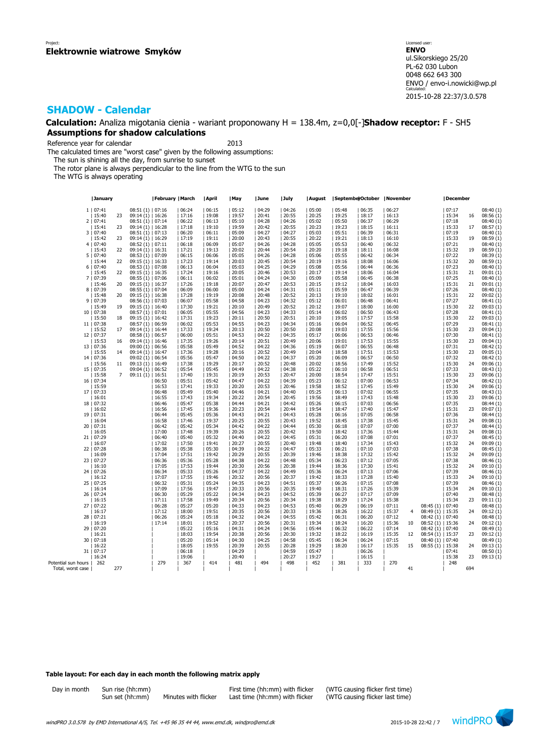**Calculation:** Analiza migotania cienia - wariant proponowany H = 138.4m, z=0,0[-]**Shadow receptor:** F - SH5 **Assumptions for shadow calculations**

Reference year for calendar 2013

The calculated times are "worst case" given by the following assumptions:

The sun is shining all the day, from sunrise to sunset

The rotor plane is always perpendicular to the line from the WTG to the sun

The WTG is always operating

|                     | January    |                |                    | February   March |       | April | May   | June  | July  | August | SeptemberOctober   November |       |       |                |                    | December |     |                          |
|---------------------|------------|----------------|--------------------|------------------|-------|-------|-------|-------|-------|--------|-----------------------------|-------|-------|----------------|--------------------|----------|-----|--------------------------|
|                     | 1   07:41  |                | $08:51(1)$   07:16 |                  | 06:24 | 06:15 | 05:12 | 04:29 | 04:26 | 05:00  | 05:48                       | 06:35 | 06:27 |                |                    | 07:17    |     | 08:40(1)                 |
|                     | 15:40      | 23             | $09:14(1)$   16:26 |                  | 17:16 | 19:08 | 19:57 | 20:41 | 20:55 | 20:25  | 19:25                       | 18:17 | 16:13 |                |                    | 15:34    | 16  | 08:56(1)                 |
|                     |            |                |                    |                  |       |       |       |       |       |        |                             |       |       |                |                    |          |     |                          |
|                     | 2   07:41  |                | 08:51 (1)   07:14  |                  | 06:22 | 06:13 | 05:10 | 04:28 | 04:26 | 05:02  | 05:50                       | 06:37 | 06:29 |                |                    | 07:18    |     | 08:40 (1)                |
|                     | 15:41      | 23             | 09:14 (1)   16:28  |                  | 17:18 | 19:10 | 19:59 | 20:42 | 20:55 | 20:23  | 19:23                       | 18:15 | 16:11 |                |                    | 15:33    | 17  | 08:57(1)                 |
|                     | 3   07:40  |                | 08:51(1)   07:13   |                  | 06:20 | 06:11 | 05:09 | 04:27 | 04:27 | 05:03  | 05:51                       | 06:39 | 06:31 |                |                    | 07:19    |     | 08:40 (1)                |
|                     | 15:42      | 23             | $09:14(1)$   16:29 |                  | 17:19 | 19:11 | 20:00 | 20:43 | 20:55 | 20:22  | 19:21                       | 18:13 | 16:10 |                |                    | 15:33    | 19  | 08:59 (1)                |
|                     | 4   07:40  |                | $08:52(1)$   07:11 |                  | 06:18 | 06:09 | 05:07 | 04:26 | 04:28 | 05:05  | 05:53                       | 06:40 | 06:32 |                |                    | 07:21    |     | 08:40 (1)                |
|                     | 15:43      | 22             | $09:14(1)$   16:31 |                  | 17:21 | 19:13 | 20:02 | 20:44 | 20:54 | 20:20  | 19:18                       | 18:11 | 16:08 |                |                    | 15:32    | 19  | 08:59 (1)                |
|                     | 5   07:40  |                | 08:53 (1)   07:09  |                  | 06:15 | 06:06 | 05:05 | 04:26 | 04:28 | 05:06  | 05:55                       | 06:42 | 06:34 |                |                    | 07:22    |     | 08:39 (1)                |
|                     | 15:44      | 22             | 09:15 (1)   16:33  |                  | 17:23 | 19:14 | 20:03 | 20:45 | 20:54 | 20:19  | 19:16                       | 18:08 | 16:06 |                |                    | 15:32    | 20  | 08:59(1)                 |
|                     |            |                |                    |                  |       | 06:04 |       |       | 04:29 | 05:08  |                             |       |       |                |                    |          |     |                          |
|                     | 6   07:40  |                | 08:53 (1)   07:08  |                  | 06:13 |       | 05:03 | 04:25 |       |        | 05:56                       | 06:44 | 06:36 |                |                    | 07:23    |     | 08:40 (1)                |
|                     | 15:45      | 22             | $09:15(1)$   16:35 |                  | 17:24 | 19:16 | 20:05 | 20:46 | 20:53 | 20:17  | 19:14                       | 18:06 | 16:04 |                |                    | 15:31    | 21  | 09:01 (1)                |
|                     | 7   07:39  |                | 08:55 (1)   07:06  |                  | 06:11 | 06:02 | 05:01 | 04:24 | 04:30 | 05:09  | 05:58                       | 06:45 | 06:38 |                |                    | 07:25    |     | 08:40 (1)                |
|                     | 15:46      | 20             | $09:15(1)$   16:37 |                  | 17:26 | 19:18 | 20:07 | 20:47 | 20:53 | 20:15  | 19:12                       | 18:04 | 16:03 |                |                    | 15:31    | 21  | 09:01 (1)                |
|                     | 8   07:39  |                | 08:55 (1)   07:04  |                  | 06:09 | 06:00 | 05:00 | 04:24 | 04:31 | 05:11  | 05:59                       | 06:47 | 06:39 |                |                    | 07:26    |     | 08:40 (1)                |
|                     | 15:48      | 20             | $09:15(1)$   16:38 |                  | 17:28 | 19:19 | 20:08 | 20:48 | 20:52 | 20:13  | 19:10                       | 18:02 | 16:01 |                |                    | 15:31    | 22  | 09:02(1)                 |
|                     | 9   07:39  |                | 08:56 (1)   07:03  |                  | 06:07 | 05:58 | 04:58 | 04:23 | 04:32 | 05:12  | 06:01                       | 06:48 | 06:41 |                |                    | 07:27    |     | 08:41 (1)                |
|                     | 15:49      | 19             | 09:15 (1)   16:40  |                  | 17:30 | 19:21 | 20:10 | 20:49 | 20:52 | 20:12  | 19:07                       | 18:00 | 16:00 |                |                    | 15:30    | 22  | 09:03(1)                 |
|                     | 10   07:38 |                | $08:57(1)$   07:01 |                  | 06:05 | 05:55 | 04:56 | 04:23 | 04:33 | 05:14  | 06:02                       | 06:50 | 06:43 |                |                    | 07:28    |     | 08:41 (1)                |
|                     | 15:50      | 18             | $09:15(1)$   16:42 |                  | 17:31 | 19:23 | 20:11 | 20:50 | 20:51 | 20:10  | 19:05                       | 17:57 | 15:58 |                |                    | 15:30    | 22  | 09:03(1)                 |
|                     | 11   07:38 |                | 08:57 (1)   06:59  |                  | 06:02 | 05:53 | 04:55 | 04:23 | 04:34 | 05:16  | 06:04                       | 06:52 | 06:45 |                |                    | 07:29    |     |                          |
|                     |            |                |                    |                  |       |       |       |       |       |        |                             |       |       |                |                    |          |     | $08:41(1)$<br>$09:04(1)$ |
|                     | 15:52      | 17             | $09:14(1)$   16:44 |                  | 17:33 | 19:24 | 20:13 | 20:50 | 20:50 | 20:08  | 19:03                       | 17:55 | 15:56 |                |                    | 15:30    | 23  |                          |
|                     | 12   07:37 |                | 08:58(1)   06:57   |                  | 06:00 | 05:51 | 04:53 | 04:22 | 04:35 | 05:17  | 06:06                       | 06:53 | 06:46 |                |                    | 07:30    |     | 08:41 (1)                |
|                     | 15:53      | 16             | $09:14(1)$   16:46 |                  | 17:35 | 19:26 | 20:14 | 20:51 | 20:49 | 20:06  | 19:01                       | 17:53 | 15:55 |                |                    | 15:30    | 23  | 09:04 (1)                |
|                     | 13   07:36 |                | 09:00 (1)   06:56  |                  | 05:58 | 05:49 | 04:52 | 04:22 | 04:36 | 05:19  | 06:07                       | 06:55 | 06:48 |                |                    | 07:31    |     | 08:42 (1)                |
|                     | 15:55      | 14             | $09:14(1)$   16:47 |                  | 17:36 | 19:28 | 20:16 | 20:52 | 20:49 | 20:04  | 18:58                       | 17:51 | 15:53 |                |                    | 15:30    | 23  | 09:05(1)                 |
|                     | 14   07:36 |                | 09:02 (1)   06:54  |                  | 05:56 | 05:47 | 04:50 | 04:22 | 04:37 | 05:20  | 06:09                       | 06:57 | 06:50 |                |                    | 07:32    |     | 08:42 (1)                |
|                     | 15:56      | 11             | $09:13(1)$   16:49 |                  | 17:38 | 19:29 | 20:17 | 20:52 | 20:48 | 20:02  | 18:56                       | 17:49 | 15:52 |                |                    | 15:30    | 24  | 09:06 (1)                |
|                     | 15   07:35 |                | $09:04(1)$   06:52 |                  | 05:54 | 05:45 | 04:49 | 04:22 | 04:38 | 05:22  | 06:10                       | 06:58 | 06:51 |                |                    | 07:33    |     | 08:43 (1)                |
|                     | 15:58      | $\overline{7}$ | $09:11(1)$   16:51 |                  | 17:40 | 19:31 | 20:19 | 20:53 | 20:47 | 20:00  | 18:54                       | 17:47 | 15:51 |                |                    | 15:30    | 23  | 09:06 (1)                |
|                     | 16   07:34 |                |                    | 06:50            | 05:51 | 05:42 | 04:47 | 04:22 | 04:39 | 05:23  | 06:12                       | 07:00 | 06:53 |                |                    | 07:34    |     | 08:42 (1)                |
|                     | 15:59      |                |                    | 16:53            | 17:41 | 19:33 | 20:20 | 20:53 | 20:46 | 19:58  | 18:52                       | 17:45 | 15:49 |                |                    | 15:30    | 24  | 09:06(1)                 |
|                     | 17   07:33 |                |                    | 06:48            | 05:49 | 05:40 | 04:46 | 04:21 | 04:40 | 05:25  | 06:13                       | 07:02 | 06:55 |                |                    | 07:35    |     | 08:43 (1)                |
|                     | 16:01      |                |                    | 16:55            | 17:43 | 19:34 | 20:22 | 20:54 | 20:45 | 19:56  | 18:49                       | 17:43 | 15:48 |                |                    | 15:30    | 23  |                          |
|                     |            |                |                    |                  |       |       |       |       |       |        |                             |       |       |                |                    |          |     | 09:06 (1)                |
|                     | 18   07:32 |                |                    | 06:46            | 05:47 | 05:38 | 04:44 | 04:21 | 04:42 | 05:26  | 06:15                       | 07:03 | 06:56 |                |                    | 07:35    |     | 08:44(1)                 |
|                     | 16:02      |                |                    | 16:56            | 17:45 | 19:36 | 20:23 | 20:54 | 20:44 | 19:54  | 18:47                       | 17:40 | 15:47 |                |                    | 15:31    | 23  | 09:07 (1)                |
|                     | 19   07:31 |                |                    | 06:44            | 05:45 | 05:36 | 04:43 | 04:21 | 04:43 | 05:28  | 06:16                       | 07:05 | 06:58 |                |                    | 07:36    |     | 08:44(1)                 |
|                     | 16:04      |                |                    | 16:58            | 17:46 | 19:37 | 20:25 | 20:55 | 20:43 | 19:52  | 18:45                       | 17:38 | 15:45 |                |                    | 15:31    | 24  | 09:08 (1)                |
|                     | 20   07:31 |                |                    | 06:42            | 05:42 | 05:34 | 04:42 | 04:22 | 04:44 | 05:30  | 06:18                       | 07:07 | 07:00 |                |                    | 07:37    |     | 08:44(1)                 |
|                     | 16:05      |                |                    | 17:00            | 17:48 | 19:39 | 20:26 | 20:55 | 20:42 | 19:50  | 18:42                       | 17:36 | 15:44 |                |                    | 15:31    | 24  | 09:08(1)                 |
|                     | 21   07:29 |                |                    | 06:40            | 05:40 | 05:32 | 04:40 | 04:22 | 04:45 | 05:31  | 06:20                       | 07:08 | 07:01 |                |                    | 07:37    |     | 08:45(1)                 |
|                     | 16:07      |                |                    | 17:02            | 17:50 | 19:41 | 20:27 | 20:55 | 20:40 | 19:48  | 18:40                       | 17:34 | 15:43 |                |                    | 15:32    | 24  | 09:09(1)                 |
|                     | 22   07:28 |                |                    | 06:38            | 05:38 | 05:30 | 04:39 | 04:22 | 04:47 | 05:33  | 06:21                       | 07:10 | 07:03 |                |                    | 07:38    |     | 08:45(1)                 |
|                     | 16:09      |                |                    | 17:04            | 17:51 | 19:42 | 20:29 | 20:55 | 20:39 | 19:46  | 18:38                       | 17:32 | 15:42 |                |                    | 15:32    | 24  | 09:09 (1)                |
|                     | 23   07:27 |                |                    | 06:36            | 05:36 | 05:28 | 04:38 | 04:22 | 04:48 | 05:34  | 06:23                       | 07:12 | 07:05 |                |                    | 07:38    |     | 08:46 (1)                |
|                     | 16:10      |                |                    | 17:05            | 17:53 | 19:44 | 20:30 | 20:56 | 20:38 | 19:44  | 18:36                       | 17:30 | 15:41 |                |                    | 15:32    | 24  | 09:10 (1)                |
|                     | 24   07:26 |                |                    | 06:34            | 05:33 | 05:26 | 04:37 | 04:22 | 04:49 | 05:36  | 06:24                       | 07:13 | 07:06 |                |                    | 07:39    |     | 08:46 (1)                |
|                     | 16:12      |                |                    | 17:07            | 17:55 | 19:46 | 20:32 | 20:56 | 20:37 | 19:42  | 18:33                       | 17:28 | 15:40 |                |                    | 15:33    | 24  | 09:10 (1)                |
|                     |            |                |                    |                  |       |       |       |       |       |        |                             |       |       |                |                    |          |     |                          |
|                     | 25   07:25 |                |                    | 06:32            | 05:31 | 05:24 | 04:35 | 04:23 | 04:51 | 05:37  | 06:26                       | 07:15 | 07:08 |                |                    | 07:39    |     | 08:46 (1)                |
|                     | 16:14      |                |                    | 17:09            | 17:56 | 19:47 | 20:33 | 20:56 | 20:35 | 19:40  | 18:31                       | 17:26 | 15:39 |                |                    | 15:34    | 24  | 09:10(1)                 |
|                     | 26   07:24 |                |                    | 06:30            | 05:29 | 05:22 | 04:34 | 04:23 | 04:52 | 05:39  | 06:27                       | 07:17 | 07:09 |                |                    | 07:40    |     | 08:48 (1)                |
|                     | 16:15      |                |                    | 17:11            | 17:58 | 19:49 | 20:34 | 20:56 | 20:34 | 19:38  | 18:29                       | 17:24 | 15:38 |                |                    | 15:34    | 23  | 09:11(1)                 |
| 27 <sub>1</sub>     | 07:22      |                |                    | 06:28            | 05:27 | 05:20 | 04:33 | 04:23 | 04:53 | 05:40  | 06:29                       | 06:19 | 07:11 |                | 08:45 (1)   07:40  |          |     | 08:48 (1)                |
|                     | 16:17      |                |                    | 17:12            | 18:00 | 19:51 | 20:35 | 20:56 | 20:33 | 19:36  | 18:26                       | 16:22 | 15:37 | $\overline{4}$ | 08:49 (1)   15:35  |          | 24  | 09:12 (1)                |
|                     | 28   07:21 |                |                    | 06:26            | 05:24 | 05:18 | 04:32 | 04:24 | 04:55 | 05:42  | 06:31                       | 06:20 | 07:12 |                | 08:42 (1)   07:40  |          |     | 08:48(1)                 |
|                     | 16:19      |                |                    | 17:14            | 18:01 | 19:52 | 20:37 | 20:56 | 20:31 | 19:34  | 18:24                       | 16:20 | 15:36 | 10             | 08:52 (1)   15:36  |          | 24  | 09:12(1)                 |
|                     | 29   07:20 |                |                    |                  | 05:22 | 05:16 | 04:31 | 04:24 | 04:56 | 05:44  | 06:32                       | 06:22 | 07:14 |                | 08:42 (1)   07:40  |          |     | 08:49 (1)                |
|                     | 16:21      |                |                    |                  | 18:03 | 19:54 | 20:38 | 20:56 | 20:30 | 19:32  | 18:22                       | 16:19 | 15:35 | 12             | 08:54 (1)   15:37  |          | 23  | 09:12(1)                 |
|                     | 30   07:18 |                |                    |                  | 05:20 | 05:14 | 04:30 | 04:25 | 04:58 | 05:45  | 06:34                       | 06:24 | 07:15 |                | 08:40 (1)   07:40  |          |     | 08:49 (1)                |
|                     | 16:22      |                |                    |                  | 18:05 | 19:55 | 20:39 | 20:55 | 20:28 | 19:29  | 18:20                       | 16:17 | 15:35 | 15             |                    |          | 24  |                          |
|                     |            |                |                    |                  |       |       |       |       |       |        |                             |       |       |                | $08:55(1)$   15:38 |          |     | 09:13(1)                 |
|                     | 31   07:17 |                |                    |                  | 06:18 |       | 04:29 |       | 04:59 | 05:47  |                             | 06:26 |       |                |                    | 07:41    |     | 08:50(1)                 |
|                     | 16:24      |                |                    |                  | 19:06 |       | 20:40 |       | 20:27 | 19:27  |                             | 16:15 |       |                |                    | 15:38    | 23  | 09:13(1)                 |
| Potential sun hours | 262        |                |                    | 279              | 367   | 414   | 481   | 494   | 498   | 452    | 381                         | 333   | 270   |                |                    | 248      |     |                          |
| Total, worst case   |            | 277            |                    |                  |       |       |       |       |       |        |                             |       |       | 41             |                    |          | 694 |                          |

### **Table layout: For each day in each month the following matrix apply**

| Day in month | Sun rise (hh:mm) |
|--------------|------------------|
|              | Sun set (hh:mm)  |

Last time (hh:mm) with flicker

First time (hh:mm) with flicker (WTG causing flicker first time)<br>Minutes with flicker Last time (hh:mm) with flicker (WTG causing flicker last time)

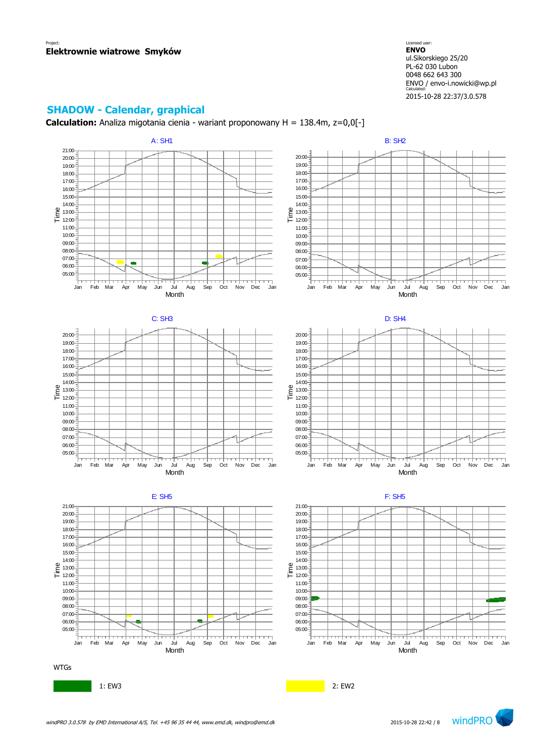### **SHADOW - Calendar, graphical**

**Calculation:** Analiza migotania cienia - wariant proponowany H = 138.4m, z=0,0[-]

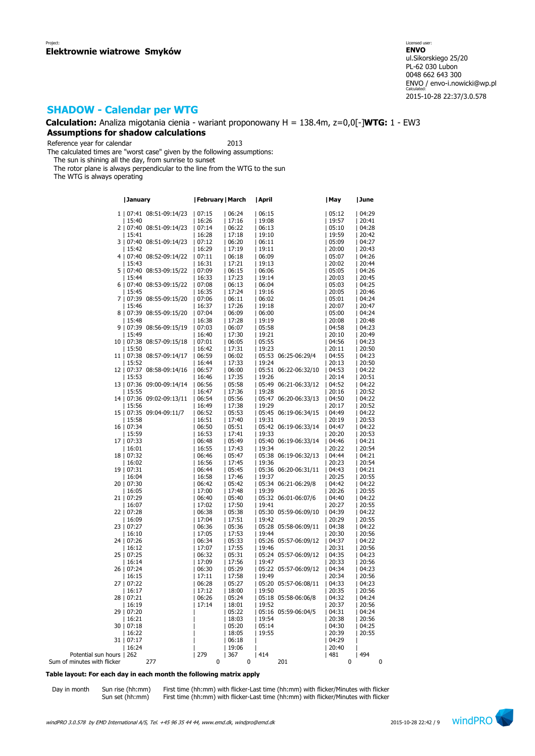## **SHADOW - Calendar per WTG**

**Calculation:** Analiza migotania cienia - wariant proponowany H = 138.4m, z=0,0[-]**WTG:** 1 - EW3 **Assumptions for shadow calculations**

Reference year for calendar 2013

The calculated times are "worst case" given by the following assumptions:

The sun is shining all the day, from sunrise to sunset

The rotor plane is always perpendicular to the line from the WTG to the sun

The WTG is always operating

|                             | January                      | February   March |       | April                | May   | June  |
|-----------------------------|------------------------------|------------------|-------|----------------------|-------|-------|
|                             | 1   07:41 08:51-09:14/23     | 07:15            | 06:24 | 06:15                | 05:12 | 04:29 |
|                             |                              |                  |       |                      |       |       |
|                             | 15:40                        | 16:26            | 17:16 | 19:08                | 19:57 | 20:41 |
|                             | 2   07:40 08:51-09:14/23     | 07:14            | 06:22 | 06:13                | 05:10 | 04:28 |
|                             | 15:41                        | 16:28            | 17:18 | 19:10                | 19:59 | 20:42 |
|                             | 3   07:40 08:51-09:14/23     | 07:12            | 06:20 | 06:11                | 05:09 | 04:27 |
|                             | 15:42                        | 16:29            | 17:19 | 19:11                | 20:00 | 20:43 |
|                             | 4   07:40<br>08:52-09:14/22  | 07:11            | 06:18 | 06:09                | 05:07 | 04:26 |
|                             | 15:43                        | 16:31            | 17:21 | 19:13                | 20:02 | 20:44 |
|                             | 5   07:40<br>08:53-09:15/22  | 07:09            | 06:15 | 06:06                | 05:05 | 04:26 |
|                             | 15:44                        | 16:33            | 17:23 | 19:14                | 20:03 | 20:45 |
|                             | 6   07:40 08:53-09:15/22     | 07:08            | 06:13 | 06:04                | 05:03 | 04:25 |
|                             | 15:45                        | 16:35            | 17:24 | 19:16                | 20:05 | 20:46 |
|                             | 7   07:39 08:55-09:15/20     | 07:06            | 06:11 | 06:02                | 05:01 | 04:24 |
|                             | 15:46                        | 16:37            | 17:26 | 19:18                | 20:07 | 20:47 |
|                             | 8   07:39<br>08:55-09:15/20  | 07:04            | 06:09 | 06:00                | 05:00 | 04:24 |
|                             | 15:48                        | 16:38            | 17:28 | 19:19                | 20:08 | 20:48 |
|                             | 9   07:39 08:56-09:15/19     | 07:03            | 06:07 | 05:58                | 04:58 | 04:23 |
|                             | 15:49                        | 16:40            | 17:30 | 19:21                | 20:10 | 20:49 |
|                             | 10   07:38 08:57-09:15/18    | 07:01            | 06:05 | 05:55                | 04:56 | 04:23 |
|                             | 15:50                        | 16:42            | 17:31 | 19:23                | 20:11 | 20:50 |
|                             | 11   07:38 08:57-09:14/17    | 06:59            | 06:02 | 05:53 06:25-06:29/4  | 04:55 | 04:23 |
|                             | 15:52                        | 16:44            | 17:33 | 19:24                | 20:13 | 20:50 |
|                             | 12   07:37<br>08:58-09:14/16 | 06:57            | 06:00 | 05:51 06:22-06:32/10 | 04:53 | 04:22 |
|                             | 15:53                        | 16:46            | 17:35 | 19:26                | 20:14 | 20:51 |
|                             |                              |                  |       |                      |       |       |
|                             | 13   07:36 09:00-09:14/14    | 06:56            | 05:58 | 05:49 06:21-06:33/12 | 04:52 | 04:22 |
|                             | 15:55                        | 16:47            | 17:36 | 19:28                | 20:16 | 20:52 |
|                             | 14   07:36 09:02-09:13/11    | 06:54            | 05:56 | 05:47 06:20-06:33/13 | 04:50 | 04:22 |
|                             | 15:56                        | 16:49            | 17:38 | 19:29                | 20:17 | 20:52 |
|                             | 15   07:35 09:04-09:11/7     | 06:52            | 05:53 | 05:45 06:19-06:34/15 | 04:49 | 04:22 |
|                             | 15:58                        | 16:51            | 17:40 | 19:31                | 20:19 | 20:53 |
|                             | 16   07:34                   | 06:50            | 05:51 | 05:42 06:19-06:33/14 | 04:47 | 04:22 |
|                             | 15:59                        | 16:53            | 17:41 | 19:33                | 20:20 | 20:53 |
|                             | 17   07:33                   | 06:48            | 05:49 | 05:40 06:19-06:33/14 | 04:46 | 04:21 |
|                             | 16:01                        | 16:55            | 17:43 | 19:34                | 20:22 | 20:54 |
|                             | 18   07:32                   | 06:46            | 05:47 | 05:38 06:19-06:32/13 | 04:44 | 04:21 |
|                             | 16:02                        | 16:56            | 17:45 | 19:36                | 20:23 | 20:54 |
|                             | 19   07:31                   | 06:44            | 05:45 | 05:36 06:20-06:31/11 | 04:43 | 04:21 |
|                             | 16:04                        | 16:58            | 17:46 | 19:37                | 20:25 | 20:55 |
|                             | 20   07:30                   | 06:42            | 05:42 | 05:34 06:21-06:29/8  | 04:42 | 04:22 |
|                             | 16:05                        | 17:00            | 17:48 | 19:39                | 20:26 | 20:55 |
|                             | 21   07:29                   | 06:40            | 05:40 | 05:32 06:01-06:07/6  | 04:40 | 04:22 |
|                             | 16:07                        | 17:02            | 17:50 | 19:41                | 20:27 | 20:55 |
|                             | 22   07:28                   | 06:38            | 05:38 | 05:30 05:59-06:09/10 | 04:39 | 04:22 |
|                             | 16:09                        | 17:04            | 17:51 | 19:42                | 20:29 | 20:55 |
|                             | 23   07:27                   | 06:36            | 05:36 | 05:28 05:58-06:09/11 | 04:38 | 04:22 |
|                             | 16:10                        | 17:05            | 17:53 | 19:44                | 20:30 | 20:56 |
|                             | 24   07:26                   | 06:34            | 05:33 | 05:26 05:57-06:09/12 | 04:37 | 04:22 |
|                             | 16:12                        | 17:07            | 17:55 | 19:46                | 20:31 | 20:56 |
|                             | 25   07:25                   | 06:32            | 05:31 | 05:24 05:57-06:09/12 | 04:35 | 04:23 |
|                             | 16:14                        | 17:09            | 17:56 | 19:47                | 20:33 | 20:56 |
|                             | 26   07:24                   | 06:30            | 05:29 | 05:22 05:57-06:09/12 | 04:34 | 04:23 |
|                             | 16:15                        | 17:11            | 17:58 | 19:49                | 20:34 | 20:56 |
|                             | 27   07:22                   | 06:28            | 05:27 | 05:20 05:57-06:08/11 | 04:33 | 04:23 |
|                             | 16:17                        | 17:12            | 18:00 | 19:50                | 20:35 | 20:56 |
|                             | 28   07:21                   | 06:26            | 05:24 | 05:18 05:58-06:06/8  | 04:32 | 04:24 |
|                             | 16:19                        | 17:14            | 18:01 | 19:52                | 20:37 | 20:56 |
|                             | 29   07:20                   |                  | 05:22 | 05:16 05:59-06:04/5  | 04:31 | 04:24 |
|                             | 16:21                        |                  | 18:03 | 19:54                | 20:38 | 20:56 |
|                             | 30   07:18                   |                  | 05:20 | 05:14                | 04:30 | 04:25 |
|                             | 16:22                        |                  | 18:05 | 19:55                | 20:39 | 20:55 |
|                             | 31   07:17                   |                  | 06:18 |                      | 04:29 |       |
|                             | 16:24                        |                  | 19:06 |                      | 20:40 |       |
| Potential sun hours   262   |                              | 279              | 367   | 414                  | 481   | 494   |
| Sum of minutes with flicker | 277                          | 0                | 0     | 201                  | 0     | 0     |

### **Table layout: For each day in each month the following matrix apply**

Day in month Sun rise (hh:mm) First time (hh:mm) with flicker-Last time (hh:mm) with flicker/Minutes with flicker Sun set (hh:mm) First time (hh:mm) with flicker-Last time (hh:mm) with flicker/Minutes with flicker

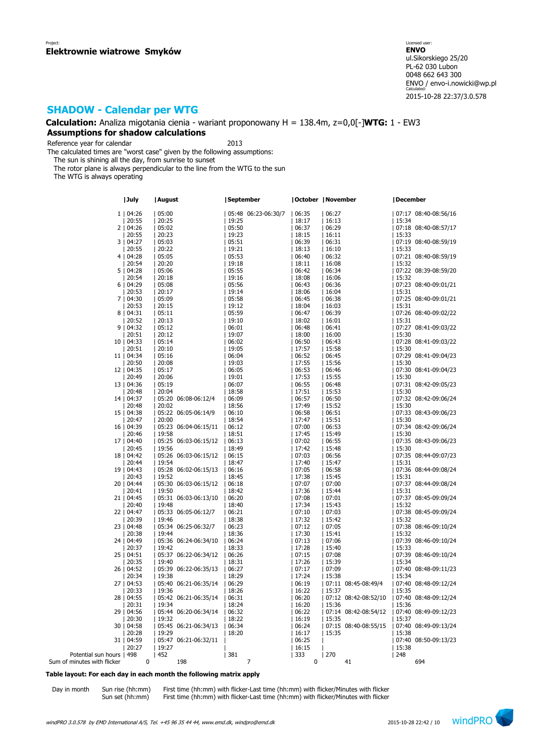## **SHADOW - Calendar per WTG**

**Calculation:** Analiza migotania cienia - wariant proponowany H = 138.4m, z=0,0[-]**WTG:** 1 - EW3 **Assumptions for shadow calculations**

Reference year for calendar 2013

The calculated times are "worst case" given by the following assumptions:

The sun is shining all the day, from sunrise to sunset

The rotor plane is always perpendicular to the line from the WTG to the sun

The WTG is always operating

|                             | July        | August |                      | September |                     | October   November |       |                      | December |                      |
|-----------------------------|-------------|--------|----------------------|-----------|---------------------|--------------------|-------|----------------------|----------|----------------------|
|                             | 1   04:26   | 05:00  |                      |           | 05:48 06:23-06:30/7 | 06:35              | 06:27 |                      |          | 07:17 08:40-08:56/16 |
|                             | 20:55       | 20:25  |                      | 19:25     |                     | 18:17              | 16:13 |                      | 15:34    |                      |
|                             |             |        |                      |           |                     |                    |       |                      |          |                      |
|                             | 2   04:26   | 05:02  |                      | 05:50     |                     | 06:37              | 06:29 |                      |          | 07:18 08:40-08:57/17 |
|                             | 20:55       | 20:23  |                      | 19:23     |                     | 18:15              | 16:11 |                      | 15:33    |                      |
|                             | 3   04:27   | 05:03  |                      | 05:51     |                     | 06:39              | 06:31 |                      |          | 07:19 08:40-08:59/19 |
|                             | 20:55       | 20:22  |                      | 19:21     |                     | 18:13              | 16:10 |                      | 15:33    |                      |
|                             | 4   04:28   | 05:05  |                      | 05:53     |                     | 06:40              | 06:32 |                      |          | 07:21 08:40-08:59/19 |
|                             | 20:54       | 20:20  |                      | 19:18     |                     | 18:11              | 16:08 |                      | 15:32    |                      |
|                             | 5   04:28   | 05:06  |                      | 05:55     |                     | 06:42              | 06:34 |                      |          | 07:22 08:39-08:59/20 |
|                             | 20:54       | 20:18  |                      | 19:16     |                     | 18:08              | 16:06 |                      | 15:32    |                      |
|                             |             |        |                      |           |                     |                    |       |                      |          |                      |
|                             | 6   04:29   | 05:08  |                      | 05:56     |                     | 06:43              | 06:36 |                      |          | 07:23 08:40-09:01/21 |
|                             | 20:53       | 20:17  |                      | 19:14     |                     | 18:06              | 16:04 |                      | 15:31    |                      |
|                             | 7   04:30   | 05:09  |                      | 05:58     |                     | 06:45              | 06:38 |                      |          | 07:25 08:40-09:01/21 |
|                             | 20:53       | 20:15  |                      | 19:12     |                     | 18:04              | 16:03 |                      | 15:31    |                      |
|                             | 8   04:31   | 05:11  |                      | 05:59     |                     | 06:47              | 06:39 |                      |          | 07:26 08:40-09:02/22 |
|                             | 20:52       | 20:13  |                      | 19:10     |                     | 18:02              | 16:01 |                      | 15:31    |                      |
|                             | 9   04:32   | 05:12  |                      | 06:01     |                     | 06:48              | 06:41 |                      |          | 07:27 08:41-09:03/22 |
|                             | 20:51       | 20:12  |                      | 19:07     |                     | 18:00              | 16:00 |                      | 15:30    |                      |
|                             | 10   04:33  | 05:14  |                      | 06:02     |                     | 06:50              | 06:43 |                      |          | 07:28 08:41-09:03/22 |
|                             |             |        |                      |           |                     |                    |       |                      |          |                      |
|                             | 20:51       | 20:10  |                      | 19:05     |                     | 17:57              | 15:58 |                      | 15:30    |                      |
|                             | 11   04:34  | 05:16  |                      | 06:04     |                     | 06:52              | 06:45 |                      |          | 07:29 08:41-09:04/23 |
|                             | 20:50       | 20:08  |                      | 19:03     |                     | 17:55              | 15:56 |                      | 15:30    |                      |
|                             | 12   04:35  | 05:17  |                      | 06:05     |                     | 06:53              | 06:46 |                      |          | 07:30 08:41-09:04/23 |
|                             | 20:49       | 20:06  |                      | 19:01     |                     | 17:53              | 15:55 |                      | 15:30    |                      |
|                             | 13   04:36  | 05:19  |                      | 06:07     |                     | 06:55              | 06:48 |                      |          | 07:31 08:42-09:05/23 |
|                             | 20:48       | 20:04  |                      | 18:58     |                     | 17:51              | 15:53 |                      | 15:30    |                      |
|                             | 14   04:37  |        | 05:20 06:08-06:12/4  | 06:09     |                     | 06:57              | 06:50 |                      |          | 07:32 08:42-09:06/24 |
|                             | 20:48       | 20:02  |                      | 18:56     |                     | 17:49              |       |                      | 15:30    |                      |
|                             |             |        |                      |           |                     |                    | 15:52 |                      |          |                      |
|                             | 15   04:38  |        | 05:22 06:05-06:14/9  | 06:10     |                     | 06:58              | 06:51 |                      |          | 07:33 08:43-09:06/23 |
|                             | 20:47       | 20:00  |                      | 18:54     |                     | 17:47              | 15:51 |                      | 15:30    |                      |
|                             | 16   04:39  |        | 05:23 06:04-06:15/11 | 06:12     |                     | 07:00              | 06:53 |                      |          | 07:34 08:42-09:06/24 |
|                             | 20:46       | 19:58  |                      | 18:51     |                     | 17:45              | 15:49 |                      | 15:30    |                      |
|                             | 17   04:40  |        | 05:25 06:03-06:15/12 | 06:13     |                     | 07:02              | 06:55 |                      |          | 07:35 08:43-09:06/23 |
|                             | 20:45       | 19:56  |                      | 18:49     |                     | 17:42              | 15:48 |                      | 15:30    |                      |
|                             | 18   04:42  |        | 05:26 06:03-06:15/12 | 06:15     |                     | 07:03              | 06:56 |                      |          | 07:35 08:44-09:07/23 |
|                             | 20:44       | 19:54  |                      | 18:47     |                     | 17:40              | 15:47 |                      | 15:31    |                      |
|                             | 19   04:43  |        | 05:28 06:02-06:15/13 | 06:16     |                     | 07:05              | 06:58 |                      |          | 07:36 08:44-09:08/24 |
|                             | 20:43       | 19:52  |                      | 18:45     |                     | 17:38              | 15:45 |                      | 15:31    |                      |
|                             |             |        |                      |           |                     |                    |       |                      |          |                      |
|                             | 20   04:44  |        | 05:30 06:03-06:15/12 | 06:18     |                     | 07:07              | 07:00 |                      |          | 07:37 08:44-09:08/24 |
|                             | 20:41       | 19:50  |                      | 18:42     |                     | 17:36              | 15:44 |                      | 15:31    |                      |
|                             | 21   04:45  |        | 05:31 06:03-06:13/10 | 06:20     |                     | 07:08              | 07:01 |                      |          | 07:37 08:45-09:09/24 |
|                             | 20:40       | 19:48  |                      | 18:40     |                     | 17:34              | 15:43 |                      | 15:32    |                      |
|                             | 22   04:47  |        | 05:33 06:05-06:12/7  | 06:21     |                     | 07:10              | 07:03 |                      |          | 07:38 08:45-09:09/24 |
|                             | 20:39       | 19:46  |                      | 18:38     |                     | 17:32              | 15:42 |                      | 15:32    |                      |
|                             | 23   04:48  |        | 05:34 06:25-06:32/7  | 06:23     |                     | 07:12              | 07:05 |                      |          | 07:38 08:46-09:10/24 |
|                             | 20:38       | 19:44  |                      | 18:36     |                     | 17:30              | 15:41 |                      | 15:32    |                      |
|                             | 24   04:49  |        | 05:36 06:24-06:34/10 | 06:24     |                     | 07:13              | 07:06 |                      |          | 07:39 08:46-09:10/24 |
|                             |             |        |                      |           |                     |                    |       |                      |          |                      |
|                             | 20:37       | 19:42  |                      | 18:33     |                     | 17:28              | 15:40 |                      | 15:33    |                      |
|                             | 25   04:51  |        | 05:37 06:22-06:34/12 | 06:26     |                     | 07:15              | 07:08 |                      |          | 07:39 08:46-09:10/24 |
|                             | 20:35       | 19:40  |                      | 18:31     |                     | 17:26              | 15:39 |                      | 15:34    |                      |
|                             | 26   04:52  |        | 05:39 06:22-06:35/13 | 06:27     |                     | 07:17              | 07:09 |                      |          | 07:40 08:48-09:11/23 |
|                             | 20:34       | 19:38  |                      | 18:29     |                     | 17:24              | 15:38 |                      | 15:34    |                      |
|                             | 27   04:53  |        | 05:40 06:21-06:35/14 | 06:29     |                     | 06:19              |       | 07:11 08:45-08:49/4  |          | 07:40 08:48-09:12/24 |
|                             | 20:33       | 19:36  |                      | 18:26     |                     | 16:22              | 15:37 |                      | 15:35    |                      |
|                             | 28   04:55  |        | 05:42 06:21-06:35/14 | 06:31     |                     | 06:20              |       | 07:12 08:42-08:52/10 |          | 07:40 08:48-09:12/24 |
|                             | 20:31       | 19:34  |                      | 18:24     |                     | 16:20              | 15:36 |                      | 15:36    |                      |
|                             |             |        |                      |           |                     |                    |       |                      |          |                      |
|                             | 29   04:56  |        | 05:44 06:20-06:34/14 | 06:32     |                     | 06:22              |       | 07:14 08:42-08:54/12 |          | 07:40 08:49-09:12/23 |
|                             | 20:30       | 19:32  |                      | 18:22     |                     | 16:19              | 15:35 |                      | 15:37    |                      |
|                             | 30   04:58  |        | 05:45 06:21-06:34/13 | 06:34     |                     | 06:24              |       | 07:15 08:40-08:55/15 |          | 07:40 08:49-09:13/24 |
|                             | 20:28       | 19:29  |                      | 18:20     |                     | 16:17              | 15:35 |                      | 15:38    |                      |
|                             | 31   04:59  |        | 05:47 06:21-06:32/11 |           |                     | 06:25              |       |                      |          | 07:40 08:50-09:13/23 |
|                             | 20:27       | 19:27  |                      |           |                     | 16:15              |       |                      | 15:38    |                      |
| Potential sun hours   498   |             | 452    |                      | 381       |                     | 333                | 270   |                      | 1248     |                      |
| Sum of minutes with flicker | $\mathbf 0$ |        | 198                  | 7         |                     | $\mathbf 0$        |       | 41                   |          | 694                  |
|                             |             |        |                      |           |                     |                    |       |                      |          |                      |

### **Table layout: For each day in each month the following matrix apply**

Day in month Sun rise (hh:mm) First time (hh:mm) with flicker-Last time (hh:mm) with flicker/Minutes with flicker Sun set (hh:mm) First time (hh:mm) with flicker-Last time (hh:mm) with flicker/Minutes with flicker

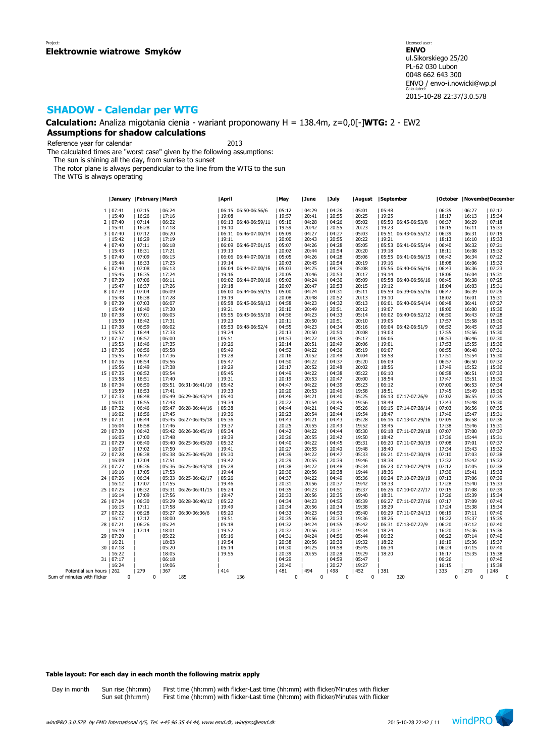## **SHADOW - Calendar per WTG**

**Calculation:** Analiza migotania cienia - wariant proponowany H = 138.4m, z=0,0[-]**WTG:** 2 - EW2 **Assumptions for shadow calculations**

Reference year for calendar 2013

The calculated times are "worst case" given by the following assumptions:

The sun is shining all the day, from sunrise to sunset

The rotor plane is always perpendicular to the line from the WTG to the sun

The WTG is always operating

|                             | January   February   March |                |                  |                      | April            |                      | May              | June            | July            | August   September |                 |                              | October   November December |                  |     |                  |
|-----------------------------|----------------------------|----------------|------------------|----------------------|------------------|----------------------|------------------|-----------------|-----------------|--------------------|-----------------|------------------------------|-----------------------------|------------------|-----|------------------|
|                             | 1   07:41                  | 07:15          | 06:24            |                      |                  | 06:15 06:50-06:56/6  | 05:12            | 04:29           | 04:26           | 05:01              | 05:48           |                              | 06:35                       | 06:27            |     | 07:17            |
|                             | 15:40                      | 16:26          | 17:16            |                      | 19:08            |                      | 19:57            | 20:41           | 20:55           | 20:25              | 19:25           |                              | 18:17                       | 16:13            |     | 15:34            |
|                             | 2   07:40                  | 07:14          | 06:22            |                      |                  | 06:13 06:48-06:59/11 | 05:10            | 04:28           | 04:26           | 05:02              |                 | 05:50 06:45-06:53/8          | 06:37                       | 06:29            |     | 07:18            |
|                             | 15:41                      | 16:28          | 17:18            |                      | 19:10            |                      | 19:59            | 20:42           | 20:55           | 20:23              | 19:23           |                              | 18:15                       | 16:11            |     | 15:33            |
|                             | 3   07:40                  | 07:12          | 06:20            |                      |                  | 06:11 06:46-07:00/14 | 05:09            | 04:27           | 04:27           | 05:03              |                 | 05:51 06:43-06:55/12         | 06:39                       | 06:31            |     | 07:19            |
|                             |                            | 16:29          | 17:19            |                      |                  |                      | 20:00            | 20:43           | 20:55           | 20:22              | 19:21           |                              | 18:13                       |                  |     | 15:33            |
|                             | 15:42<br>4   07:40         | 07:11          | 06:18            |                      | 19:11            | 06:09 06:46-07:01/15 | 05:07            | 04:26           | 04:28           | 05:05              |                 | 05:53 06:41-06:55/14         | 06:40                       | 16:10<br> 06:32  |     | 07:21            |
|                             |                            |                |                  |                      |                  |                      |                  |                 |                 |                    |                 |                              |                             |                  |     |                  |
|                             | 15:43                      | 16:31          | 17:21<br> 06:15  |                      | 19:13            |                      | 20:02<br> 05:05  | 20:44<br>04:26  | 20:54<br> 04:28 | 20:20<br> 05:06    | 19:18           | 05:55 06:41-06:56/15         | 18:11<br> 06:42             | 16:08<br> 06:34  |     | 15:32<br>07:22   |
|                             | 5   07:40<br>15:44         | 07:09<br>16:33 | 17:23            |                      | 19:14            | 06:06 06:44-07:00/16 | 20:03            | 20:45           | 20:54           | 20:19              | 19:16           |                              | 18:08                       | 16:06            |     | 15:32            |
|                             | 6   07:40                  | 07:08          | 06:13            |                      |                  | 06:04 06:44-07:00/16 | 05:03            | 04:25           | 04:29           | 05:08              |                 | 05:56 06:40-06:56/16         | 06:43                       | 06:36            |     | 07:23            |
|                             |                            | 16:35          | 17:24            |                      | 19:16            |                      | 20:05            | 20:46           | 20:53           | 20:17              | 19:14           |                              | 18:06                       | 16:04            |     | 15:31            |
|                             | 15:45                      | 07:06          |                  |                      |                  | 06:02 06:44-07:00/16 | 05:02            | 04:24           | 04:30           | 05:09              |                 | 05:58 06:40-06:56/16         | 06:45                       | 06:38            |     |                  |
|                             | 7   07:39<br>15:47         | 16:37          | 06:11<br>  17:26 |                      | 19:18            |                      | 20:07            | 20:47           | 20:53           | 20:15              | 19:12           |                              | 18:04                       | 16:03            |     | 07:25<br>15:31   |
|                             |                            | 07:04          | 06:09            |                      |                  | 06:00 06:44-06:59/15 | 05:00            | 04:24           | 04:31           | 05:11              |                 |                              | 06:47                       | 06:39            |     | 07:26            |
|                             | 8   07:39<br>15:48         | 16:38          | 17:28            |                      | 19:19            |                      | 20:08            | 20:48           | 20:52           | 20:13              | 19:10           | 05:59 06:39-06:55/16         | 18:02                       | 16:01            |     | 15:31            |
|                             | 9   07:39                  | 07:03          | 06:07            |                      |                  | 05:58 06:45-06:58/13 | 04:58            | 04:23           | 04:32           | 05:13              |                 | 06:01 06:40-06:54/14         | 06:48                       | 06:41            |     |                  |
|                             | 15:49                      | 16:40          | 17:30            |                      | 19:21            |                      | 20:10            | 20:49           | 20:51           | 20:12              | 19:07           |                              | 18:00                       | 16:00            |     | 07:27<br>15:30   |
|                             |                            |                |                  |                      |                  |                      |                  |                 |                 |                    |                 |                              |                             |                  |     |                  |
|                             | 10   07:38                 | 07:01          | 06:05            |                      |                  | 05:55 06:45-06:55/10 | 04:56            | 04:23           | 04:33           | 05:14              |                 | 06:02 06:40-06:52/12         | 06:50                       | 06:43            |     | 07:28            |
|                             | 15:50                      | 16:42          | 17:31            |                      | 19:23            |                      | 20:11            | 20:50           | 20:51           | 20:10              | 19:05           |                              | 17:57                       | 15:58            |     | 15:30            |
|                             | 11   07:38                 | 06:59          | 06:02            |                      |                  | 05:53 06:48-06:52/4  | 04:55            | 04:23           | 04:34           | 05:16              |                 | 06:04 06:42-06:51/9          | 06:52                       | 06:45            |     | 07:29            |
|                             | 15:52                      | 16:44          | 17:33            |                      | 19:24            |                      | 20:13            | 20:50           | 20:50           | 20:08              | 19:03           |                              | 17:55                       | 15:56            |     | 15:30<br>07:30   |
|                             | 12   07:37                 | 06:57          | 06:00            |                      | 05:51            |                      | 04:53            | 04:22           | 04:35           | 05:17              | 06:06           |                              | 06:53                       | 06:46            |     |                  |
|                             | 15:53                      | 16:46          | 17:35            |                      | 19:26            |                      | 20:14            | 20:51           | 20:49           | 20:06              | 19:01           |                              | 17:53                       | 15:55            |     | 15:30            |
|                             | 13   07:36                 | 06:56          | 05:58            |                      | 05:49            |                      | 04:52            | 04:22           | 04:36           | 05:19              | 06:07           |                              | 06:55                       | 06:48            |     | 07:31            |
|                             | 15:55                      | 16:47          | 17:36            |                      | 19:28            |                      | 20:16            | 20:52           | 20:48           | 20:04              | 18:58           |                              | 17:51                       | 15:54            |     | 15:30<br>07:32   |
|                             | 14   07:36                 | 06:54          | 05:56            |                      | 05:47            |                      | 04:50            | 04:22           | 04:37           | 05:20              | 06:09           |                              | 06:57                       | 06:50            |     |                  |
|                             | 15:56                      | 16:49          | 17:38            |                      | 19:29            |                      | 20:17            | 20:52           | 20:48           | 20:02              | 18:56           |                              | 17:49                       | 15:52            |     | 15:30            |
|                             | 15   07:35                 | 06:52          | 05:54            |                      | 05:45            |                      | 04:49            | 04:22           | 04:38           | 05:22              | 06:10           |                              | 06:58                       | 06:51            |     | 07:33            |
|                             | 15:58                      | 16:51          | 17:40            |                      | 19:31            |                      | 20:19            | 20:53           | 20:47           | 20:00              | 18:54           |                              | 17:47                       | 15:51            |     | 15:30            |
|                             | 16   07:34                 | 06:50          |                  | 05:51 06:31-06:41/10 | 05:42            |                      | 04:47            | 04:22           | 04:39           | 05:23              | 06:12           |                              | 07:00                       | 06:53            |     | 07:34            |
|                             | 15:59                      | 16:53          | 17:41            |                      | 19:33            |                      | 20:20            | 20:53           | 20:46           | 19:58              | 18:51           |                              | 17:45                       | 15:49            |     | 15:30            |
|                             | 17   07:33                 | 06:48          |                  | 05:49 06:29-06:43/14 | 105:40           |                      | 04:46            | 04:21           | 04:40           | 05:25              |                 | 06:13 07:17-07:26/9          | 07:02                       | 06:55            |     | 07:35            |
|                             | 16:01                      | 16:55          | 17:43            |                      | 19:34            |                      | 20:22            | 20:54           | 20:45           | 19:56              | 18:49           |                              | 17:43                       | 15:48            |     | 15:30            |
|                             | 18   07:32                 | 06:46          |                  | 05:47 06:28-06:44/16 | 05:38            |                      | 04:44            | 04:21           | 04:42           | 05:26              |                 | 06:15 07:14-07:28/14   07:03 |                             | 06:56            |     | 07:35            |
|                             | 16:02                      | 16:56          | 17:45            |                      | 19:36            |                      | 20:23            | 20:54           | 20:44           | 19:54              | 18:47           |                              | 17:40                       | 15:47            |     | 15:31            |
|                             | 19   07:31                 | 06:44          |                  | 05:45 06:27-06:45/18 | 05:36            |                      | 04:43<br>20:25   | 04:21           | 04:43           | 05:28              |                 | 06:16 07:13-07:29/16         | 07:05                       | 06:58            |     | 07:36            |
|                             | 16:04<br>20   07:30        | 16:58          | 17:46            | 05:42 06:26-06:45/19 | 19:37<br> 05:34  |                      | 04:42            | 20:55           | 20:43           | 19:52<br> 05:30    | 18:45           |                              | 17:38<br> 07:07             | 15:46<br> 07:00  |     | 15:31<br>07:37   |
|                             |                            | 06:42          |                  |                      |                  |                      |                  | 04:22           | 04:44           |                    |                 | 06:18 07:11-07:29/18         |                             |                  |     |                  |
|                             | 16:05                      | 17:00          | 17:48            |                      | 19:39<br> 05:32  |                      | 20:26            | 20:55           | 20:42           | 19:50              | 18:42           |                              | 17:36                       | 15:44            |     | 15:31            |
|                             | 21   07:29                 | 06:40          |                  | 05:40 06:25-06:45/20 | 19:41            |                      | 04:40            | 04:22           | 04:45           | 05:31              |                 | 06:20 07:11-07:30/19         | 07:08                       | 07:01            |     | 07:37<br>  15:32 |
|                             | 16:07                      | 17:02          | 17:50            |                      |                  |                      | 20:27            | 20:55           | 20:40           | 19:48              | 18:40           |                              | 17:34                       | 15:43            |     |                  |
|                             | 22   07:28                 | 06:38          |                  | 05:38 06:25-06:45/20 | 05:30            |                      | 04:39            | 04:22           | 04:47           | 05:33              |                 | 06:21 07:11-07:30/19         | 07:10                       | 07:03            |     | 07:38            |
|                             | 16:09<br>23   07:27        | 17:04<br>06:36 | 17:51            | 05:36 06:25-06:43/18 | 19:42<br> 05:28  |                      | 20:29<br>04:38   | 20:55<br> 04:22 | 20:39<br>04:48  | 19:46<br>05:34     | 18:38           | 06:23 07:10-07:29/19         | 17:32<br> 07:12             | 15:42<br> 07:05  |     | 15:32<br>07:38   |
|                             |                            |                |                  |                      |                  |                      | 20:30            | 20:56           |                 |                    |                 |                              | 17:30                       |                  |     | 15:33            |
|                             | 16:10                      | 17:05          | 17:53            |                      | 19:44            |                      |                  | 04:22           | 20:38           | 19:44              | 18:36           |                              | 07:13                       | 15:41            |     |                  |
|                             | 24   07:26                 | 06:34          |                  | 05:33 06:25-06:42/17 | 05:26            |                      | 04:37            |                 | 04:49           | 05:36              |                 | 06:24 07:10-07:29/19         |                             | 07:06            |     | 07:39            |
|                             | 16:12<br>25   07:25        | 17:07<br>06:32 | 17:55            | 05:31 06:26-06:41/15 | 19:46<br> 05:24  |                      | 20:31<br> 04:35  | 20:56<br>04:23  | 20:37<br> 04:51 | 19:42<br> 05:37    | 18:33           | 06:26 07:10-07:27/17         | 17:28<br> 07:15             | 15:40<br> 07:08  |     | 15:33<br>07:39   |
|                             |                            |                |                  |                      | 19:47            |                      | 20:33            |                 | 20:35           | 19:40              |                 |                              | 17:26                       | 15:39            |     | 15:34            |
|                             | 16:14<br>26   07:24        | 17:09<br>06:30 | 17:56            | 05:29 06:28-06:40/12 | 05:22            |                      | 04:34            | 20:56<br>04:23  | 04:52           | 05:39              | 18:31           | 06:27 07:11-07:27/16         | 07:17                       | 07:09            |     | 07:40            |
|                             | 16:15                      | 17:11          | 17:58            |                      | 19:49            |                      | 20:34            | 20:56           | 20:34           | 19:38              | 18:29           |                              | 17:24                       | 15:38            |     | 15:34            |
|                             | 27   07:22                 | 06:28          |                  | 05:27 06:30-06:36/6  | 05:20            |                      | 04:33            | 04:23           | 04:53           | 05:40              |                 | 06:29 07:11-07:24/13         | 06:19                       | 07:11            |     | 07:40            |
|                             | 16:17                      | 17:12          | 18:00            |                      | 19:51            |                      | 20:35            | 20:56           | 20:33           | 19:36              | 18:26           |                              | 16:22                       | 15:37            |     |                  |
|                             |                            |                |                  |                      |                  |                      | 04:32            | 04:24           | 04:55           | 05:42              |                 |                              | 06:20                       |                  |     | 15:35<br>07:40   |
|                             | 28   07:21<br>16:19        | 06:26<br>17:14 | 05:24<br> 18:01  |                      | 05:18<br>  19:52 |                      | 20:37            | 20:56           | 20:31           | 19:34              | 18:24           | 06:31 07:13-07:22/9          | 16:20                       | 07:12<br> 15:36  |     | 15:36            |
|                             |                            |                |                  |                      |                  |                      |                  |                 |                 |                    |                 |                              |                             |                  |     |                  |
|                             | 29   07:20                 |                | 05:22<br>18:03   |                      | 05:16<br>19:54   |                      | 04:31<br>  20:38 | 04:24           | 04:56           | 05:44<br> 19:32    | 06:32           |                              | 06:22<br>16:19              | 07:14<br>  15:36 |     | 07:40<br>  15:37 |
|                             | 16:21<br>30   07:18        |                | 05:20            |                      | 05:14            |                      | 04:30            | 20:56<br>04:25  | 20:30<br> 04:58 | 05:45              | 18:22<br> 06:34 |                              | 06:24                       |                  |     | 07:40            |
|                             | 16:22                      |                | 18:05            |                      | 19:55            |                      | 20:39            | 20:55           | 20:28           | 19:29              | 18:20           |                              | 16:17                       | 07:15<br>  15:35 |     | 15:38            |
|                             | 31   07:17                 |                | 06:18            |                      |                  |                      | 04:29            |                 | 04:59           | 05:47              |                 |                              | 06:26                       |                  |     | 07:40            |
|                             | 16:24                      |                | 19:06            |                      |                  |                      | 20:40            |                 | 20:27           | 19:27              |                 |                              | 16:15                       |                  |     | 15:38            |
| Potential sun hours   262   |                            | 279            | 367              |                      | 414              |                      | 481              | 494             | 498             | $ 452\rangle$      | 381             |                              | 333                         | 270              | 248 |                  |
| Sum of minutes with flicker | $\pmb{0}$                  | 0              |                  | 185                  |                  | 136                  | $\mathbf 0$      | $\bf{0}$        | $\mathbf 0$     | $\pmb{0}$          |                 | 320                          | $\mathbf 0$                 | $\mathbf 0$      |     | 0                |
|                             |                            |                |                  |                      |                  |                      |                  |                 |                 |                    |                 |                              |                             |                  |     |                  |

### **Table layout: For each day in each month the following matrix apply**

Day in month Sun rise (hh:mm) First time (hh:mm) with flicker-Last time (hh:mm) with flicker/Minutes with flicker Sun set (hh:mm) First time (hh:mm) with flicker-Last time (hh:mm) with flicker/Minutes with flicker